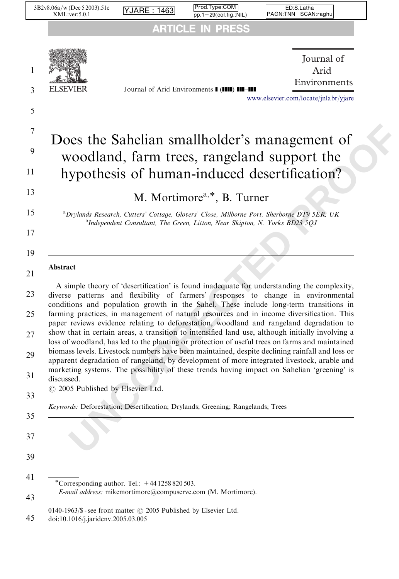|                            | 3B2v8.06a/w (Dec 5 2003).51c<br>XML:ver:5.0.1                                                           | ARE                                            | Prod.Type:COM<br>$pp.1-29$ (col.fig.:NIL)                                       | ED:S.Latha<br>PAGN:TNN SCAN:raghu                                                                                                                                                                                                                                                                                                                                                                                                                                                                                                                                                                                                                                                                                                                                                                                                                                                                                                                                     |
|----------------------------|---------------------------------------------------------------------------------------------------------|------------------------------------------------|---------------------------------------------------------------------------------|-----------------------------------------------------------------------------------------------------------------------------------------------------------------------------------------------------------------------------------------------------------------------------------------------------------------------------------------------------------------------------------------------------------------------------------------------------------------------------------------------------------------------------------------------------------------------------------------------------------------------------------------------------------------------------------------------------------------------------------------------------------------------------------------------------------------------------------------------------------------------------------------------------------------------------------------------------------------------|
|                            |                                                                                                         |                                                | <b>ARTICLE IN PRESS</b>                                                         |                                                                                                                                                                                                                                                                                                                                                                                                                                                                                                                                                                                                                                                                                                                                                                                                                                                                                                                                                                       |
| 1<br>3<br>5                | EI SEVIER                                                                                               |                                                | Journal of Arid Environments I (IIII) III-III                                   | Journal of<br>Arid<br>Environments<br>www.elsevier.com/locate/jnlabr/yjare                                                                                                                                                                                                                                                                                                                                                                                                                                                                                                                                                                                                                                                                                                                                                                                                                                                                                            |
| 7<br>9                     |                                                                                                         |                                                |                                                                                 | Does the Sahelian smallholder's management of<br>woodland, farm trees, rangeland support the                                                                                                                                                                                                                                                                                                                                                                                                                                                                                                                                                                                                                                                                                                                                                                                                                                                                          |
| 11                         |                                                                                                         |                                                |                                                                                 | hypothesis of human-induced desertification?                                                                                                                                                                                                                                                                                                                                                                                                                                                                                                                                                                                                                                                                                                                                                                                                                                                                                                                          |
| 13                         |                                                                                                         |                                                | M. Mortimore <sup>a,*</sup> , B. Turner                                         |                                                                                                                                                                                                                                                                                                                                                                                                                                                                                                                                                                                                                                                                                                                                                                                                                                                                                                                                                                       |
| 15                         |                                                                                                         |                                                |                                                                                 | <sup>a</sup> Drylands Research, Cutters' Cottage, Glovers' Close, Milborne Port, Sherborne DT9 5ER, UK                                                                                                                                                                                                                                                                                                                                                                                                                                                                                                                                                                                                                                                                                                                                                                                                                                                                |
| 17                         |                                                                                                         |                                                | $b$ Independent Consultant, The Green, Litton, Near Skipton, N. Yorks BD23 5QJ  |                                                                                                                                                                                                                                                                                                                                                                                                                                                                                                                                                                                                                                                                                                                                                                                                                                                                                                                                                                       |
| 19                         |                                                                                                         |                                                |                                                                                 |                                                                                                                                                                                                                                                                                                                                                                                                                                                                                                                                                                                                                                                                                                                                                                                                                                                                                                                                                                       |
| 21                         | Abstract                                                                                                |                                                |                                                                                 |                                                                                                                                                                                                                                                                                                                                                                                                                                                                                                                                                                                                                                                                                                                                                                                                                                                                                                                                                                       |
| 23<br>25<br>27<br>29<br>31 | discussed.                                                                                              |                                                |                                                                                 | A simple theory of 'desertification' is found inadequate for understanding the complexity,<br>diverse patterns and flexibility of farmers' responses to change in environmental<br>conditions and population growth in the Sahel. These include long-term transitions in<br>farming practices, in management of natural resources and in income diversification. This<br>paper reviews evidence relating to deforestation, woodland and rangeland degradation to<br>show that in certain areas, a transition to intensified land use, although initially involving a<br>loss of woodland, has led to the planting or protection of useful trees on farms and maintained<br>biomass levels. Livestock numbers have been maintained, despite declining rainfall and loss or<br>apparent degradation of rangeland, by development of more integrated livestock, arable and<br>marketing systems. The possibility of these trends having impact on Sahelian 'greening' is |
| 33                         | © 2005 Published by Elsevier Ltd.                                                                       |                                                |                                                                                 |                                                                                                                                                                                                                                                                                                                                                                                                                                                                                                                                                                                                                                                                                                                                                                                                                                                                                                                                                                       |
| 35                         |                                                                                                         |                                                | Keywords: Deforestation; Desertification; Drylands; Greening; Rangelands; Trees |                                                                                                                                                                                                                                                                                                                                                                                                                                                                                                                                                                                                                                                                                                                                                                                                                                                                                                                                                                       |
|                            |                                                                                                         |                                                |                                                                                 |                                                                                                                                                                                                                                                                                                                                                                                                                                                                                                                                                                                                                                                                                                                                                                                                                                                                                                                                                                       |
| 37                         |                                                                                                         |                                                |                                                                                 |                                                                                                                                                                                                                                                                                                                                                                                                                                                                                                                                                                                                                                                                                                                                                                                                                                                                                                                                                                       |
| 39                         |                                                                                                         |                                                |                                                                                 |                                                                                                                                                                                                                                                                                                                                                                                                                                                                                                                                                                                                                                                                                                                                                                                                                                                                                                                                                                       |
| 41<br>43                   |                                                                                                         | *Corresponding author. Tel.: $+441258820503$ . | E-mail address: mikemortimore@compuserve.com (M. Mortimore).                    |                                                                                                                                                                                                                                                                                                                                                                                                                                                                                                                                                                                                                                                                                                                                                                                                                                                                                                                                                                       |
| 45                         | 0140-1963/\$ - see front matter © 2005 Published by Elsevier Ltd.<br>doi:10.1016/j.jaridenv.2005.03.005 |                                                |                                                                                 |                                                                                                                                                                                                                                                                                                                                                                                                                                                                                                                                                                                                                                                                                                                                                                                                                                                                                                                                                                       |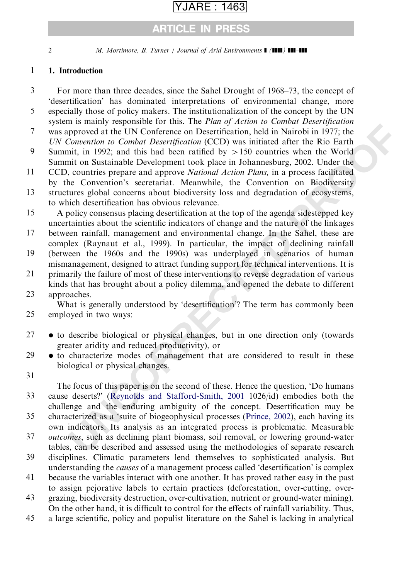### ARTICLE IN PRESS

2 M. Mortimore, B. Turner / Journal of Arid Environments  $\blacksquare$  ( $\blacksquare$ )  $\blacksquare$ 

#### 1. Introduction 1

- For more than three decades, since the Sahel Drought of 1968–73, the concept of 'desertification' has dominated interpretations of environmental change, more especially those of policy makers. The institutionalization of the concept by the UN system is mainly responsible for this. The Plan of Action to Combat Desertification 3 5
- was approved at the UN Conference on Desertification, held in Nairobi in 1977; the UN Convention to Combat Desertification (CCD) was initiated after the Rio Earth 7
- Summit, in 1992; and this had been ratified by  $>150$  countries when the World Summit on Sustainable Development took place in Johannesburg, 2002. Under the 9
- CCD, countries prepare and approve National Action Plans, in a process facilitated by the Convention's secretariat. Meanwhile, the Convention on Biodiversity 11
- structures global concerns about biodiversity loss and degradation of ecosystems, to which desertification has obvious relevance. 13
- A policy consensus placing desertification at the top of the agenda sidestepped key uncertainties about the scientific indicators of change and the nature of the linkages 15

between rainfall, management and environmental change. In the Sahel, these are complex (Raynaut et al., 1999). In particular, the impact of declining rainfall 17

- (between the 1960s and the 1990s) was underplayed in scenarios of human mismanagement, designed to attract funding support for technical interventions. It is 19
- primarily the failure of most of these interventions to reverse degradation of various kinds that has brought about a policy dilemma, and opened the debate to different 21

### approaches. 23

What is generally understood by 'desertification'? The term has commonly been employed in two ways: 25

- to describe biological or physical changes, but in one direction only (towards greater aridity and reduced productivity), or 27
- to characterize modes of management that are considered to result in these biological or physical changes. 29
- 31

In Shamiy Cesponson for duare the *Fan by Pachini* Bothan Desembation in National Desembation in Combat Deprediction in the UN Conference on Desertification, held in Natrobi in 1977; the Comention to Combat Desembent (CCD) The focus of this paper is on the second of these. Hence the question, 'Do humans cause deserts?' (Reynolds and Stafford-Smith, 2001 1026/id) embodies both the challenge and the enduring ambiguity of the concept. Desertification may be characterized as a 'suite of biogeophysical processes (Prince, 2002), each having its 33

- own indicators. Its analysis as an integrated process is problematic. Measurable 35
- outcomes, such as declining plant biomass, soil removal, or lowering ground-water tables, can be described and assessed using the methodologies of separate research 37
- disciplines. Climatic parameters lend themselves to sophisticated analysis. But understanding the causes of a management process called 'desertification' is complex 39
- because the variables interact with one another. It has proved rather easy in the past to assign pejorative labels to certain practices (deforestation, over-cutting, over-41
- grazing, biodiversity destruction, over-cultivation, nutrient or ground-water mining). On the other hand, it is difficult to control for the effects of rainfall variability. Thus, 43
- a large scientific, policy and populist literature on the Sahel is lacking in analytical 45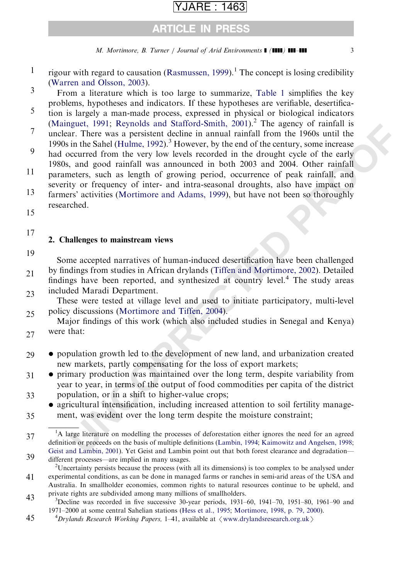### ARE : 1463

### ARTICLE IN PRESS

M. Mortimore, B. Turner / Journal of Arid Environments  $\blacksquare$  (IIII) III-III 3

- rigour with regard to causation [\(Rasmussen, 1999](#page-27-0)).<sup>1</sup> The concept is losing credibility [\(Warren and Olsson, 2003](#page-28-0)). 1
- From a literature which is too large to summarize, [Table 1](#page-3-0) simplifies the key problems, hypotheses and indicators. If these hypotheses are verifiable, desertifica-3
- tion is largely a man-made process, expressed in physical or biological indicators [\(Mainguet, 1991](#page-26-0); [Reynolds and Stafford-Smith, 2001\)](#page-27-0).<sup>2</sup> The agency of rainfall is 5
- unclear. There was a persistent decline in annual rainfall from the 1960s until the 1990s in the Sahel (Hulme, 1992).<sup>3</sup> However, by the end of the century, some increase 7
- had occurred from the very low levels recorded in the drought cycle of the early 1980s, and good rainfall was announced in both 2003 and 2004. Other rainfall 9
- parameters, such as length of growing period, occurrence of peak rainfall, and severity or frequency of inter- and intra-seasonal droughts, also have impact on farmers' activities (Mortimore and Adams, 1999), but have not been so thoroughly 11 13
- researched. 15
- 

### 17

### 2. Challenges to mainstream views

19

Some accepted narratives of human-induced desertification have been challenged by findings from studies in African drylands (Tiffen and Mortimore, 2002). Detailed

findings have been reported, and synthesized at country level.<sup>4</sup> The study areas included Maradi Department. 21 23

These were tested at village level and used to initiate participatory, multi-level policy discussions (Mortimore and Tiffen, 2004). 25

Major findings of this work (which also included studies in Senegal and Kenya) were that: 27

- population growth led to the development of new land, and urbanization created new markets, partly compensating for the loss of export markets; 29
- aguet, 1991; Reyonds and Nations-Smitt, 2001). The agency of ranifial is<br>a.r. There was a persistent decline in annual rainfull from the 1960s until the<br>in the Sahel (Hulme, 1992)<sup>.</sup> However, by the eard of the century, so primary production was maintained over the long term, despite variability from year to year, in terms of the output of food commodities per capita of the district population, or in a shift to higher-value crops; 31 33
- agricultural intensification, including increased attention to soil fertility management, was evident over the long term despite the moisture constraint; 35

<sup>37</sup> 39 <sup>1</sup>A large literature on modelling the processes of deforestation either ignores the need for an agreed definition or proceeds on the basis of multiple definitions (Lambin, 1994; Kaimowitz and Angelsen, 1998; [Geist and Lambin, 2001\)](#page-25-0). Yet Geist and Lambin point out that both forest clearance and degradation different processes—are implied in many usages.

<sup>41</sup> <sup>2</sup>Uncertainty persists because the process (with all its dimensions) is too complex to be analysed under experimental conditions, as can be done in managed farms or ranches in semi-arid areas of the USA and Australia. In smallholder economies, common rights to natural resources continue to be upheld, and private rights are subdivided among many millions of smallholders. <sup>3</sup>

<sup>43</sup>  $3$ Decline was recorded in five successive 30-year periods, 1931–60, 1941–70, 1951–80, 1961–90 and 1971–2000 at some central Sahelian stations ([Hess et al., 1995](#page-25-0); [Mortimore, 1998, p. 79, 2000\)](#page-26-0). <sup>4</sup>

<sup>45</sup> <sup>4</sup>Drylands Research Working Papers, 1–41, available at  $\langle$  [www.drylandsresearch.org.uk](http://www.drylandsresearch.org.uk) $\rangle$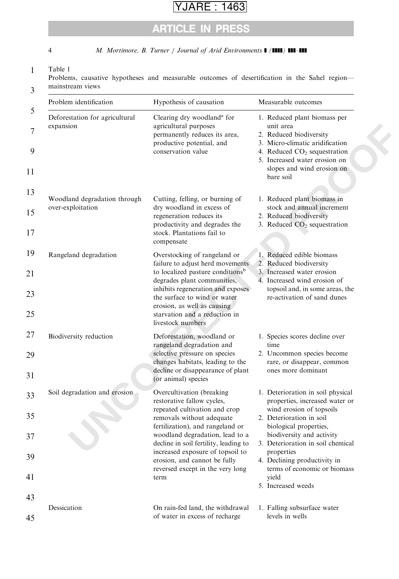## ARTICLE IN PRESS

<span id="page-3-0"></span>4 M. Mortimore, B. Turner / Journal of Arid Environments  $\blacksquare$  ( $\blacksquare\blacksquare$ )  $\blacksquare\blacksquare\blacksquare\blacksquare$ 

#### 1 Table 1

3 Problems, causative hypotheses and measurable outcomes of desertification in the Sahel region mainstream views

| Problem identification                            | Hypothesis of causation                                                                                                                                                                                                                                                                                                                               | Measurable outcomes                                                                                                                                                                                                                                                                                                                  |  |  |  |
|---------------------------------------------------|-------------------------------------------------------------------------------------------------------------------------------------------------------------------------------------------------------------------------------------------------------------------------------------------------------------------------------------------------------|--------------------------------------------------------------------------------------------------------------------------------------------------------------------------------------------------------------------------------------------------------------------------------------------------------------------------------------|--|--|--|
| Deforestation for agricultural<br>expansion       | Clearing dry woodland <sup>a</sup> for<br>agricultural purposes<br>permanently reduces its area,<br>productive potential, and<br>conservation value                                                                                                                                                                                                   | 1. Reduced plant biomass per<br>unit area<br>2. Reduced biodiversity<br>3. Micro-climatic aridification<br>4. Reduced CO <sub>2</sub> sequestration<br>5. Increased water erosion on<br>slopes and wind erosion on<br>bare soil                                                                                                      |  |  |  |
| Woodland degradation through<br>over-exploitation | Cutting, felling, or burning of<br>dry woodland in excess of<br>regeneration reduces its<br>productivity and degrades the<br>stock. Plantations fail to<br>compensate                                                                                                                                                                                 | 1. Reduced plant biomass in<br>stock and annual increment<br>2. Reduced biodiversity<br>3. Reduced CO <sub>2</sub> sequestration                                                                                                                                                                                                     |  |  |  |
| Rangeland degradation                             | Overstocking of rangeland or<br>failure to adjust herd movements<br>to localized pasture conditions <sup>b</sup><br>degrades plant communities,<br>inhibits regeneration and exposes<br>the surface to wind or water<br>erosion, as well as causing                                                                                                   | 1. Reduced edible biomass<br>2. Reduced biodiversity<br>3. Increased water erosion<br>4. Increased wind erosion of<br>topsoil and, in some areas, the<br>re-activation of sand dunes                                                                                                                                                 |  |  |  |
| Biodiversity reduction                            | starvation and a reduction in<br>livestock numbers<br>Deforestation, woodland or<br>rangeland degradation and<br>selective pressure on species<br>changes habitats, leading to the<br>decline or disappearance of plant<br>(or animal) species                                                                                                        | 1. Species scores decline over<br>time<br>2. Uncommon species become<br>rare, or disappear, common<br>ones more dominant                                                                                                                                                                                                             |  |  |  |
| Soil degradation and erosion                      | Overcultivation (breaking<br>restorative fallow cycles,<br>repeated cultivation and crop<br>removals without adequate<br>fertilization), and rangeland or<br>woodland degradation, lead to a<br>decline in soil fertility, leading to<br>increased exposure of topsoil to<br>erosion, and cannot be fully<br>reversed except in the very long<br>term | 1. Deterioration in soil physical<br>properties, increased water or<br>wind erosion of topsoils<br>2. Deterioration in soil<br>biological properties,<br>biodiversity and activity<br>3. Deterioration in soil chemical<br>properties<br>4. Declining productivity in<br>terms of economic or biomass<br>vield<br>5. Increased weeds |  |  |  |
| Dessication                                       | On rain-fed land, the withdrawal<br>of water in excess of recharge                                                                                                                                                                                                                                                                                    | 1. Falling subsurface water<br>levels in wells                                                                                                                                                                                                                                                                                       |  |  |  |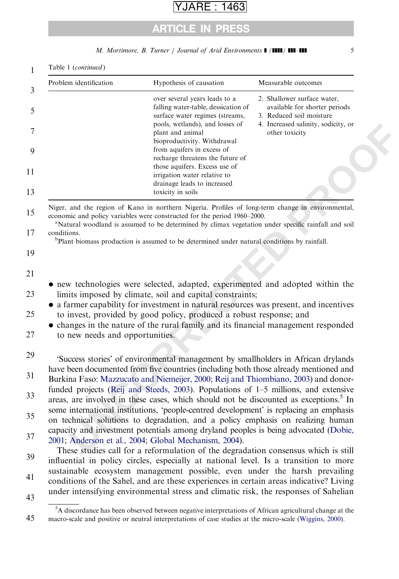## ARTICLE IN PRESS

M. Mortimore, B. Turner / Journal of Arid Environments ] (]]]]) ]]]–]]] 5

| Problem identification          | Hypothesis of causation                                                                                                                                                                                                                                                                                                                                                              | Measurable outcomes                                                                                                                               |
|---------------------------------|--------------------------------------------------------------------------------------------------------------------------------------------------------------------------------------------------------------------------------------------------------------------------------------------------------------------------------------------------------------------------------------|---------------------------------------------------------------------------------------------------------------------------------------------------|
|                                 | over several years leads to a<br>falling water-table, dessication of<br>surface water regimes (streams,<br>pools, wetlands), and losses of<br>plant and animal<br>bioproductivity. Withdrawal<br>from aquifers in excess of<br>recharge threatens the future of<br>those aquifers. Excess use of<br>irrigation water relative to<br>drainage leads to increased<br>toxicity in soils | 2. Shallower surface water,<br>available for shorter periods<br>3. Reduced soil moisture<br>4. Increased salinity, sodicity, or<br>other toxicity |
| conditions.                     | Niger, and the region of Kano in northern Nigeria. Profiles of long-term change in environmental,<br>economic and policy variables were constructed for the period 1960–2000.<br><sup>a</sup> Natural woodland is assumed to be determined by climax vegetation under specific rainfall and soil                                                                                     |                                                                                                                                                   |
|                                 | <sup>b</sup> Plant biomass production is assumed to be determined under natural conditions by rainfall.                                                                                                                                                                                                                                                                              |                                                                                                                                                   |
|                                 |                                                                                                                                                                                                                                                                                                                                                                                      |                                                                                                                                                   |
|                                 |                                                                                                                                                                                                                                                                                                                                                                                      |                                                                                                                                                   |
|                                 | • new technologies were selected, adapted, experimented and adopted within the<br>limits imposed by climate, soil and capital constraints;                                                                                                                                                                                                                                           |                                                                                                                                                   |
|                                 | • a farmer capability for investment in natural resources was present, and incentives                                                                                                                                                                                                                                                                                                |                                                                                                                                                   |
|                                 | to invest, provided by good policy, produced a robust response; and<br>• changes in the nature of the rural family and its financial management responded                                                                                                                                                                                                                            |                                                                                                                                                   |
| to new needs and opportunities. |                                                                                                                                                                                                                                                                                                                                                                                      |                                                                                                                                                   |
|                                 | 'Success stories' of environmental management by smallholders in African drylands                                                                                                                                                                                                                                                                                                    |                                                                                                                                                   |
|                                 | have been documented from five countries (including both those already mentioned and                                                                                                                                                                                                                                                                                                 |                                                                                                                                                   |
|                                 | Burkina Faso: Mazzucato and Niemeijer, 2000; Reij and Thiombiano, 2003) and donor-                                                                                                                                                                                                                                                                                                   |                                                                                                                                                   |
|                                 |                                                                                                                                                                                                                                                                                                                                                                                      |                                                                                                                                                   |
|                                 | funded projects (Reij and Steeds, 2003). Populations of 1-5 millions, and extensive<br>areas, are involved in these cases, which should not be discounted as exceptions. <sup>5</sup> In                                                                                                                                                                                             |                                                                                                                                                   |
|                                 | some international institutions, 'people-centred development' is replacing an emphasis                                                                                                                                                                                                                                                                                               |                                                                                                                                                   |
|                                 | on technical solutions to degradation, and a policy emphasis on realizing human<br>capacity and investment potentials among dryland peoples is being advocated (Dobie,                                                                                                                                                                                                               |                                                                                                                                                   |
|                                 | 2001; Anderson et al., 2004; Global Mechanism, 2004).                                                                                                                                                                                                                                                                                                                                |                                                                                                                                                   |
|                                 | These studies call for a reformulation of the degradation consensus which is still<br>influential in policy circles, especially at national level. Is a transition to more                                                                                                                                                                                                           |                                                                                                                                                   |
|                                 | sustainable ecosystem management possible, even under the harsh prevailing<br>conditions of the Sahel, and are these experiences in certain areas indicative? Living                                                                                                                                                                                                                 |                                                                                                                                                   |

45 <sup>5</sup>A discordance has been observed between negative interpretations of African agricultural change at the macro-scale and positive or neutral interpretations of case studies at the micro-scale ([Wiggins, 2000\)](#page-28-0).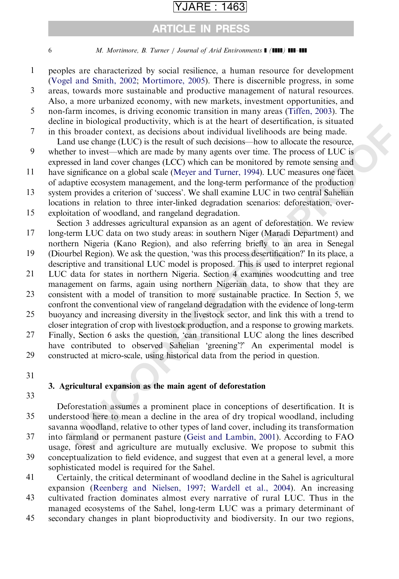## ARTICLE IN PRESS

6 M. Mortimore, B. Turner / Journal of Arid Environments  $\blacksquare$  ( $\blacksquare$ )  $\blacksquare$ 

- peoples are characterized by social resilience, a human resource for development [\(Vogel and Smith, 2002](#page-28-0); [Mortimore, 2005\)](#page-26-0). There is discernible progress, in some 1
- areas, towards more sustainable and productive management of natural resources. Also, a more urbanized economy, with new markets, investment opportunities, and 3
- non-farm incomes, is driving economic transition in many areas [\(Tiffen, 2003\)](#page-27-0). The decline in biological productivity, which is at the heart of desertification, is situated 5
- in this broader context, as decisions about individual livelihoods are being made. Land use change (LUC) is the result of such decisions—how to allocate the resource, 7
- whether to invest—which are made by many agents over time. The process of LUC is expressed in land cover changes (LCC) which can be monitored by remote sensing and 9
- have significance on a global scale (Meyer and Turner, 1994). LUC measures one facet of adaptive ecosystem management, and the long-term performance of the production 11
- system provides a criterion of 'success'. We shall examine LUC in two central Sahelian locations in relation to three inter-linked degradation scenarios: deforestation, over-13
- exploitation of woodland, and rangeland degradation. 15

Section 3 addresses agricultural expansion as an agent of deforestation. We review long-term LUC data on two study areas: in southern Niger (Maradi Department) and

- northern Nigeria (Kano Region), and also referring briefly to an area in Senegal (Diourbel Region). We ask the question, 'was this process desertification?' In its place, a 17 19
- descriptive and transitional LUC model is proposed. This is used to interpret regional LUC data for states in northern Nigeria. Section 4 examines woodcutting and tree 21
- management on farms, again using northern Nigerian data, to show that they are consistent with a model of transition to more sustainable practice. In Section 5, we confront the conventional view of rangeland degradation with the evidence of long-term 23
- buoyancy and increasing diversity in the livestock sector, and link this with a trend to closer integration of crop with livestock production, and a response to growing markets. 25
- Finally, Section 6 asks the question, 'can transitional LUC along the lines described have contributed to observed Sahelian 'greening'?' An experimental model is constructed at micro-scale, using historical data from the period in question. 27 29
- 31

### 3. Agricultural expansion as the main agent of deforestation

33

In broadcard productively, worth is at the neart of ouces tonetable, to some the content of the centure (LUC) is the result of such decisions about individual livelihoods are being made.<br>
In broadcard case, the centure of Deforestation assumes a prominent place in conceptions of desertification. It is understood here to mean a decline in the area of dry tropical woodland, including savanna woodland, relative to other types of land cover, including its transformation 35

- into farmland or permanent pasture (Geist and Lambin, 2001). According to FAO usage, forest and agriculture are mutually exclusive. We propose to submit this conceptualization to field evidence, and suggest that even at a general level, a more 37 39
- sophisticated model is required for the Sahel.
- Certainly, the critical determinant of woodland decline in the Sahel is agricultural expansion [\(Reenberg and Nielsen, 1997;](#page-27-0) [Wardell et al., 2004\)](#page-28-0). An increasing 41
- cultivated fraction dominates almost every narrative of rural LUC. Thus in the managed ecosystems of the Sahel, long-term LUC was a primary determinant of 43
- secondary changes in plant bioproductivity and biodiversity. In our two regions, 45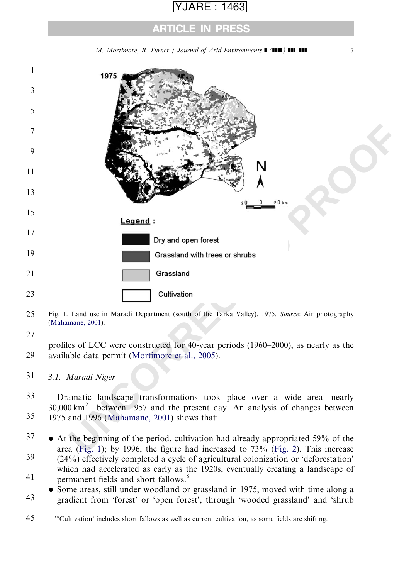## ARE : 1463

### ARTICLE IN PRESS

M. Mortimore, B. Turner / Journal of Arid Environments  $\blacksquare$  ( $\blacksquare\blacksquare$ )  $\blacksquare\blacksquare\blacksquare\blacksquare$ 

<span id="page-6-0"></span>

- 25 Fig. 1. Land use in Maradi Department (south of the Tarka Valley), 1975. Source: Air photography [\(Mahamane, 2001\)](#page-26-0).
- 27

profiles of LCC were constructed for 40-year periods (1960–2000), as nearly as the available data permit (Mortimore et al., 2005). 29

3.1. Maradi Niger 31

Dramatic landscape transformations took place over a wide area—nearly 30,000 km<sup>2</sup> —between 1957 and the present day. An analysis of changes between 1975 and 1996 (Mahamane, 2001) shows that: 33 35

 At the beginning of the period, cultivation had already appropriated 59% of the area (Fig. 1); by 1996, the figure had increased to  $73\%$  (Fig. 2). This increase  $(24%)$  effectively completed a cycle of agricultural colonization or 'deforestation' which had accelerated as early as the 1920s, eventually creating a landscape of 37 39

- permanent fields and short fallows.<sup>6</sup> 41
- Some areas, still under woodland or grassland in 1975, moved with time along a gradient from 'forest' or 'open forest', through 'wooded grassland' and 'shrub 43

<sup>45</sup> <sup>6</sup>'Cultivation' includes short fallows as well as current cultivation, as some fields are shifting.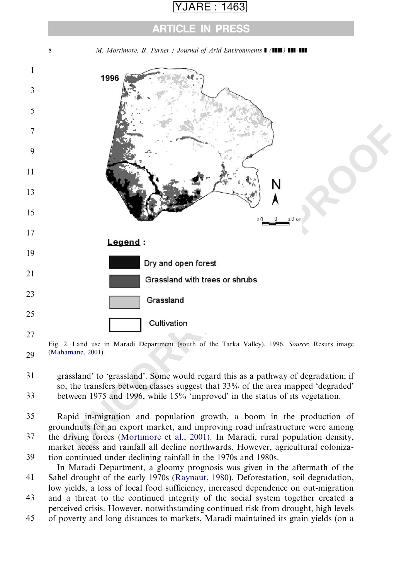### ARTICLE IN PRESS

<span id="page-7-0"></span>

29 Fig. 2. Land use in Maradi Department (south of the Tarka Valley), 1996. Source: Resurs image [\(Mahamane, 2001\)](#page-26-0).

grassland' to 'grassland'. Some would regard this as a pathway of degradation; if so, the transfers between classes suggest that 33% of the area mapped 'degraded' between 1975 and 1996, while 15% 'improved' in the status of its vegetation. 31 33

Rapid in-migration and population growth, a boom in the production of groundnuts for an export market, and improving road infrastructure were among 35

the driving forces (Mortimore et al., 2001). In Maradi, rural population density, market access and rainfall all decline northwards. However, agricultural colonization continued under declining rainfall in the 1970s and 1980s. 37 39

In Maradi Department, a gloomy prognosis was given in the aftermath of the Sahel drought of the early 1970s [\(Raynaut, 1980](#page-27-0)). Deforestation, soil degradation, 41

low yields, a loss of local food sufficiency, increased dependence on out-migration

and a threat to the continued integrity of the social system together created a perceived crisis. However, notwithstanding continued risk from drought, high levels 43

of poverty and long distances to markets, Maradi maintained its grain yields (on a 45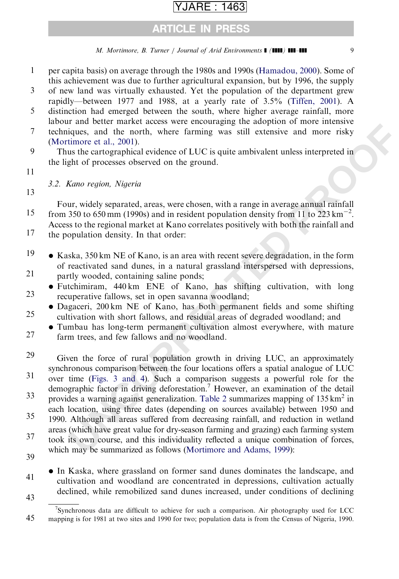### ARTICLE IN PRESS

### M. Mortimore, B. Turner / Journal of Arid Environments ] (]]]]) ]]]–]]] 9

- per capita basis) on average through the 1980s and 1990s ([Hamadou, 2000\)](#page-25-0). Some of this achievement was due to further agricultural expansion, but by 1996, the supply 1
- of new land was virtually exhausted. Yet the population of the department grew rapidly—between 1977 and 1988, at a yearly rate of 3.5% ([Tiffen, 2001\)](#page-27-0). A 3
- distinction had emerged between the south, where higher average rainfall, more labour and better market access were encouraging the adoption of more intensive 5
- techniques, and the north, where farming was still extensive and more risky [\(Mortimore et al., 2001\)](#page-26-0). 7
- Thus the cartographical evidence of LUC is quite ambivalent unless interpreted in the light of processes observed on the ground. 9
- 11

3.2. Kano region, Nigeria

13

Four, widely separated, areas, were chosen, with a range in average annual rainfall from 350 to 650 mm (1990s) and in resident population density from 11 to 223 km<sup>-2</sup>. Access to the regional market at Kano correlates positively with both the rainfall and 15

- the population density. In that order: 17
- Kaska, 350 km NE of Kano, is an area with recent severe degradation, in the form of reactivated sand dunes, in a natural grassland interspersed with depressions, partly wooded, containing saline ponds; 19 21
- Futchimiram, 440 km ENE of Kano, has shifting cultivation, with long recuperative fallows, set in open savanna woodland; 23
- Dagaceri, 200 km NE of Kano, has both permanent fields and some shifting cultivation with short fallows, and residual areas of degraded woodland; and 25
- Tumbau has long-term permanent cultivation almost everywhere, with mature farm trees, and few fallows and no woodland. 27
- That otect make the costs well encoronaging the acoptom of microscopical<br>tiques, and the north, where farming was still extensive and more risky<br>timere et al., 2001).<br>
Units outs the cartographical evidence of LUC is quite Given the force of rural population growth in driving LUC, an approximately synchronous comparison between the four locations offers a spatial analogue of LUC over time (Figs. 3 and 4). Such a comparison suggests a powerful role for the demographic factor in driving deforestation.<sup>7</sup> However, an examination of the detail provides a warning against generalization. Table 2 summarizes mapping of  $135 \text{ km}^2$  in each location, using three dates (depending on sources available) between 1950 and 1990. Although all areas suffered from decreasing rainfall, and reduction in wetland 29 31 33 35
- areas (which have great value for dry-season farming and grazing) each farming system took its own course, and this individuality reflected a unique combination of forces, which may be summarized as follows [\(Mortimore and Adams, 1999](#page-26-0)): 37
- 39
- In Kaska, where grassland on former sand dunes dominates the landscape, and cultivation and woodland are concentrated in depressions, cultivation actually declined, while remobilized sand dunes increased, under conditions of declining 41
- 43

<sup>45</sup> <sup>7</sup>Synchronous data are difficult to achieve for such a comparison. Air photography used for LCC mapping is for 1981 at two sites and 1990 for two; population data is from the Census of Nigeria, 1990.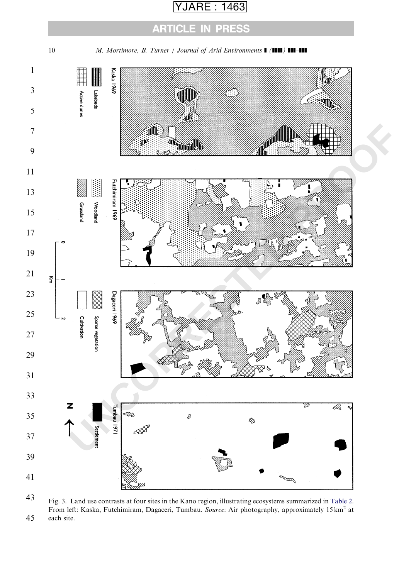ARTICLE IN PRESS

<span id="page-9-0"></span>

 Fig. 3. Land use contrasts at four sites in the Kano region, illustrating ecosystems summarized in [Table 2](#page-12-0). From left: Kaska, Futchimiram, Dagaceri, Tumbau. Source: Air photography, approximately 15 km<sup>2</sup> at each site.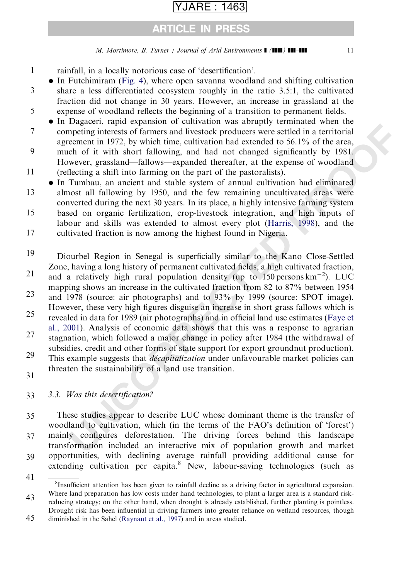## ARTICLE IN PRESS

### M. Mortimore, B. Turner / Journal of Arid Environments  $\blacksquare$  ( $\blacksquare$ )  $\blacksquare$

- rainfall, in a locally notorious case of 'desertification'. 1
- In Futchimiram ([Fig. 4](#page-12-0)), where open savanna woodland and shifting cultivation
- share a less differentiated ecosystem roughly in the ratio 3.5:1, the cultivated fraction did not change in 30 years. However, an increase in grassland at the expense of woodland reflects the beginning of a transition to permanent fields. 3 5
- In Dagaceri, rapid expansion of cultivation was abruptly terminated when the

competing interests of farmers and livestock producers were settled in a territorial agreement in 1972, by which time, cultivation had extended to 56.1% of the area, 7

- much of it with short fallowing, and had not changed significantly by 1981. However, grassland—fallows—expanded thereafter, at the expense of woodland (reflecting a shift into farming on the part of the pastoralists). 9 11
- In Tumbau, an ancient and stable system of annual cultivation had eliminated almost all fallowing by 1950, and the few remaining uncultivated areas were converted during the next 30 years. In its place, a highly intensive farming system 13

based on organic fertilization, crop-livestock integration, and high inputs of labour and skills was extended to almost every plot (Harris, 1998), and the 15

- cultivated fraction is now among the highest found in Nigeria. 17
- **Example 1** (and Vapiral of the medition we a study of the control with the energet in 1972, by which time, cultivation had extended to 56.1% of the area, election in 1972, by which time, cultivation had extended to 56.1% Diourbel Region in Senegal is superficially similar to the Kano Close-Settled Zone, having a long history of permanent cultivated fields, a high cultivated fraction, and a relatively high rural population density (up to  $150$  persons km<sup>-2</sup>). LUC mapping shows an increase in the cultivated fraction from 82 to 87% between 1954 and 1978 (source: air photographs) and to 93% by 1999 (source: SPOT image). However, these very high figures disguise an increase in short grass fallows which is revealed in data for 1989 (air photographs) and in official land use estimates (Faye et [al., 2001\)](#page-25-0). Analysis of economic data shows that this was a response to agrarian stagnation, which followed a major change in policy after 1984 (the withdrawal of subsidies, credit and other forms of state support for export groundnut production). This example suggests that *décapitalization* under unfavourable market policies can threaten the sustainability of a land use transition. 19 21 23 25 27 29
- 31

#### 3.3. Was this desertification? 33

These studies appear to describe LUC whose dominant theme is the transfer of woodland to cultivation, which (in the terms of the FAO's definition of 'forest') mainly configures deforestation. The driving forces behind this landscape transformation included an interactive mix of population growth and market opportunities, with declining average rainfall providing additional cause for extending cultivation per capita.<sup>8</sup> New, labour-saving technologies (such as 35 37 39

<sup>41</sup> 43 <sup>8</sup>Insufficient attention has been given to rainfall decline as a driving factor in agricultural expansion. Where land preparation has low costs under hand technologies, to plant a larger area is a standard risk-

<sup>45</sup> reducing strategy; on the other hand, when drought is already established, further planting is pointless. Drought risk has been influential in driving farmers into greater reliance on wetland resources, though diminished in the Sahel [\(Raynaut et al., 1997](#page-27-0)) and in areas studied.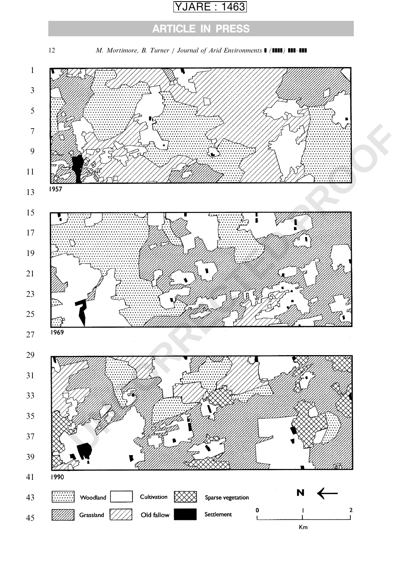## ARTICLE IN PRESS

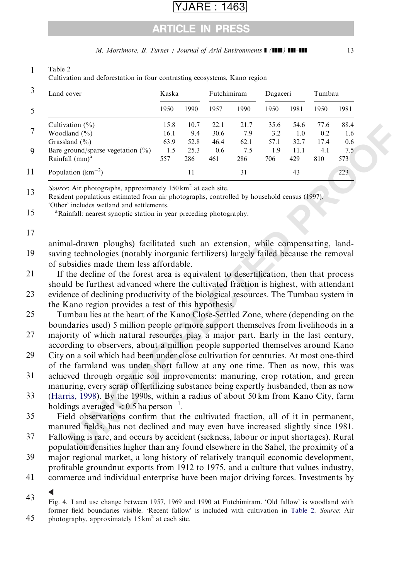## ARTICLE IN PRESS

M. Mortimore, B. Turner / Journal of Arid Environments  $\blacksquare$  (IIII) III-III 13

# tion (%)<br>
168 107 221 21 21.7 356 66 46<br>
and (%)<br>
16.1 94 306 73 22 12 10.7 21<br>
and (%)<br>
16.1 94 306 73 32 10 02 14<br>
comdgspare vegetation (%) 1.5 25.3 66 6 7.5 19 11:1 41 7.5<br>
160 momdgspare vegetation (%) 1.5 25.3 66 6 7 3 5 7 9 11 Land cover Kaska Futchimiram Dagaceri Tumbau 1950 1990 1957 1990 1950 1981 1950 1981 Cultivation (%) 15.8 10.7 22.1 21.7 35.6 54.6 77.6 88.4 Woodland (%) 16.1 9.4 30.6 7.9 3.2 1.0 0.2 1.6 Grassland (%) 63.9 52.8 46.4 62.1 57.1 32.7 17.4 0.6 Bare ground/sparse vegetation (%) 1.5 25.3 0.6 7.5 1.9 11.1 4.1 7.5 Rainfall (mm)a 557 286 461 286 706 429 810 573 Population  $(km^{-2})$  $11$   $31$   $43$   $223$

#### <span id="page-12-0"></span>1 Table 2

Cultivation and deforestation in four contrasting ecosystems, Kano region

13 Source: Air photographs, approximately  $150 \text{ km}^2$  at each site.

Resident populations estimated from air photographs, controlled by household census (1997). 'Other' includes wetland and settlements.

15 <sup>a</sup>Rainfall: nearest synoptic station in year preceding photography.

animal-drawn ploughs) facilitated such an extension, while compensating, landsaving technologies (notably inorganic fertilizers) largely failed because the removal of subsidies made them less affordable. 19

- If the decline of the forest area is equivalent to desertification, then that process should be furthest advanced where the cultivated fraction is highest, with attendant 21
- evidence of declining productivity of the biological resources. The Tumbau system in the Kano region provides a test of this hypothesis. 23
- Tumbau lies at the heart of the Kano Close-Settled Zone, where (depending on the boundaries used) 5 million people or more support themselves from livelihoods in a 25 27

majority of which natural resources play a major part. Early in the last century, according to observers, about a million people supported themselves around Kano

- City on a soil which had been under close cultivation for centuries. At most one-third of the farmland was under short fallow at any one time. Then as now, this was 29
- achieved through organic soil improvements: manuring, crop rotation, and green manuring, every scrap of fertilizing substance being expertly husbanded, then as now 31
- [\(Harris, 1998](#page-25-0)). By the 1990s, within a radius of about 50 km from Kano City, farm holdings averaged  $\langle 0.5$  ha person<sup>-1</sup>. 33

Field observations confirm that the cultivated fraction, all of it in permanent, manured fields, has not declined and may even have increased slightly since 1981. 35

- Fallowing is rare, and occurs by accident (sickness, labour or input shortages). Rural population densities higher than any found elsewhere in the Sahel, the proximity of a 37
- major regional market, a long history of relatively tranquil economic development, profitable groundnut exports from 1912 to 1975, and a culture that values industry, 39
- commerce and individual enterprise have been major driving forces. Investments by 41
- 43 45 Fig. 4. Land use change between 1957, 1969 and 1990 at Futchimiram. 'Old fallow' is woodland with former field boundaries visible. 'Recent fallow' is included with cultivation in Table 2. Source: Air photography, approximately  $15 \text{ km}^2$  at each site.

<sup>17</sup>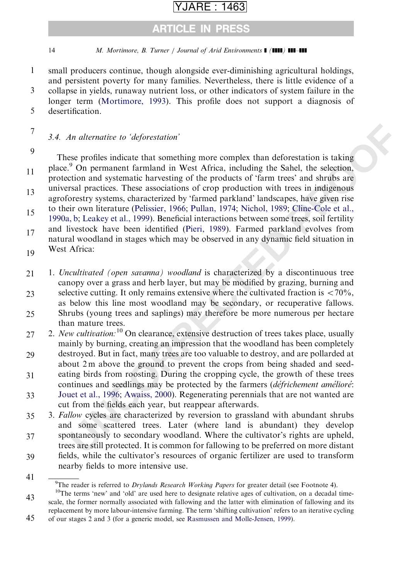### ARTICLE IN PRESS

14 M. Mortimore, B. Turner / Journal of Arid Environments  $\blacksquare$  ( $\blacksquare$ )  $\blacksquare$ 

- small producers continue, though alongside ever-diminishing agricultural holdings, and persistent poverty for many families. Nevertheless, there is little evidence of a collapse in yields, runaway nutrient loss, or other indicators of system failure in the 1 3
- longer term ([Mortimore, 1993\)](#page-26-0). This profile does not support a diagnosis of desertification. 5
- 7

### 3.4. An alternative to 'deforestation'

9

41

An alternative to 'deforestation'<br>
ese profiles indicate that something more complex than deforestation is taking<br>
<sup>2</sup> On permanent farmland in West Africa, including the Sahel, the selection,<br>
<sup>2</sup> On permanent farmland in These profiles indicate that something more complex than deforestation is taking place.<sup>9</sup> On permanent farmland in West Africa, including the Sahel, the selection, protection and systematic harvesting of the products of 'farm trees' and shrubs are universal practices. These associations of crop production with trees in indigenous agroforestry systems, characterized by 'farmed parkland' landscapes, have given rise to their own literature (Pelissier, 1966; Pullan, 1974; Nichol, 1989; Cline-Cole et al., [1990a, b;](#page-24-0) Leakey et al., 1999). Beneficial interactions between some trees, soil fertility 11 13 15

and livestock have been identified (Pieri, 1989). Farmed parkland evolves from natural woodland in stages which may be observed in any dynamic field situation in West Africa: 17 19

1. Uncultivated (open savanna) woodland is characterized by a discontinuous tree canopy over a grass and herb layer, but may be modified by grazing, burning and selective cutting. It only remains extensive where the cultivated fraction is  $\langle 70\% \rangle$ , as below this line most woodland may be secondary, or recuperative fallows. Shrubs (young trees and saplings) may therefore be more numerous per hectare than mature trees. 21 23 25

2. New cultivation:  $10$  On clearance, extensive destruction of trees takes place, usually mainly by burning, creating an impression that the woodland has been completely 27

- destroyed. But in fact, many trees are too valuable to destroy, and are pollarded at about 2 m above the ground to prevent the crops from being shaded and seedeating birds from roosting. During the cropping cycle, the growth of these trees continues and seedlings may be protected by the farmers (défrichement amélioré: 29 31
- [Jouet et al., 1996](#page-25-0); Awaiss, 2000). Regenerating perennials that are not wanted are cut from the fields each year, but reappear afterwards. 33

3. Fallow cycles are characterized by reversion to grassland with abundant shrubs and some scattered trees. Later (where land is abundant) they develop spontaneously to secondary woodland. Where the cultivator's rights are upheld, 35 37

trees are still protected. It is common for fallowing to be preferred on more distant fields, while the cultivator's resources of organic fertilizer are used to transform 39

- nearby fields to more intensive use.
	- <sup>9</sup>The reader is referred to *Drylands Research Working Papers* for greater detail (see Footnote 4).

45 of our stages 2 and 3 (for a generic model, see [Rasmussen and Molle-Jensen, 1999](#page-27-0)).

<sup>43</sup>  $10$ The terms 'new' and 'old' are used here to designate relative ages of cultivation, on a decadal timescale, the former normally associated with fallowing and the latter with elimination of fallowing and its replacement by more labour-intensive farming. The term 'shifting cultivation' refers to an iterative cycling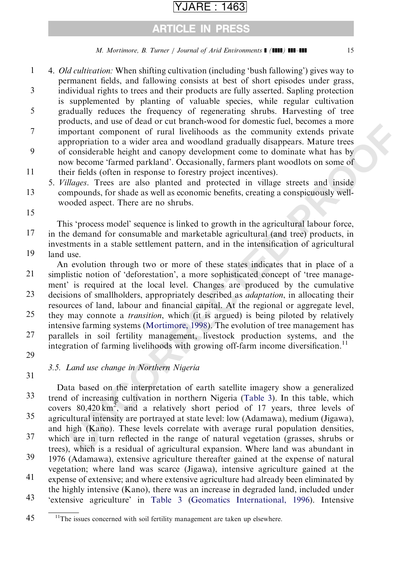### ARTICLE IN PRESS

### M. Mortimore, B. Turner / Journal of Arid Environments  $\blacksquare$  (IIII) III-III 15

4. Old cultivation: When shifting cultivation (including 'bush fallowing') gives way to permanent fields, and fallowing consists at best of short episodes under grass, individual rights to trees and their products are fully asserted. Sapling protection is supplemented by planting of valuable species, while regular cultivation gradually reduces the frequency of regenerating shrubs. Harvesting of tree products, and use of dead or cut branch-wood for domestic fuel, becomes a more important component of rural livelihoods as the community extends private appropriation to a wider area and woodland gradually disappears. Mature trees 1 3 5 7

of considerable height and canopy development come to dominate what has by now become 'farmed parkland'. Occasionally, farmers plant woodlots on some of their fields (often in response to forestry project incentives). 9 11

5. Villages. Trees are also planted and protected in village streets and inside compounds, for shade as well as economic benefits, creating a conspicuously wellwooded aspect. There are no shrubs. 13

15

This 'process model' sequence is linked to growth in the agricultural labour force, in the demand for consumable and marketable agricultural (and tree) products, in investments in a stable settlement pattern, and in the intensification of agricultural land use. 17

An evolution through two or more of these states indicates that in place of a simplistic notion of 'deforestation', a more sophisticated concept of 'tree management' is required at the local level. Changes are produced by the cumulative decisions of smallholders, appropriately described as adaptation, in allocating their 19 21 23

- resources of land, labour and financial capital. At the regional or aggregate level, they may connote a transition, which (it is argued) is being piloted by relatively intensive farming systems (Mortimore, 1998). The evolution of tree management has 25
- parallels in soil fertility management, livestock production systems, and the integration of farming livelihoods with growing off-farm income diversification.<sup>11</sup> 27
- 29

### 3.5. Land use change in Northern Nigeria

31

Xouchs, and use<br>
Souch and the comparation to the other and wooldland gradually disappears. Matter is propriated to a wider area and woodland gradually disappears. Matter trees<br>
considerable height and canopy development Data based on the interpretation of earth satellite imagery show a generalized trend of increasing cultivation in northern Nigeria (Table 3). In this table, which covers  $80,420 \text{ km}^2$ , and a relatively short period of 17 years, three levels of agricultural intensity are portrayed at state level: low (Adamawa), medium (Jigawa), and high (Kano). These levels correlate with average rural population densities, which are in turn reflected in the range of natural vegetation (grasses, shrubs or trees), which is a residual of agricultural expansion. Where land was abundant in 1976 (Adamawa), extensive agriculture thereafter gained at the expense of natural vegetation; where land was scarce (Jigawa), intensive agriculture gained at the expense of extensive; and where extensive agriculture had already been eliminated by the highly intensive (Kano), there was an increase in degraded land, included under 'extensive agriculture' in [Table 3](#page-15-0) [\(Geomatics International, 1996](#page-25-0)). Intensive 33 35 37 39 41 43

<sup>45</sup>  $11$ The issues concerned with soil fertility management are taken up elsewhere.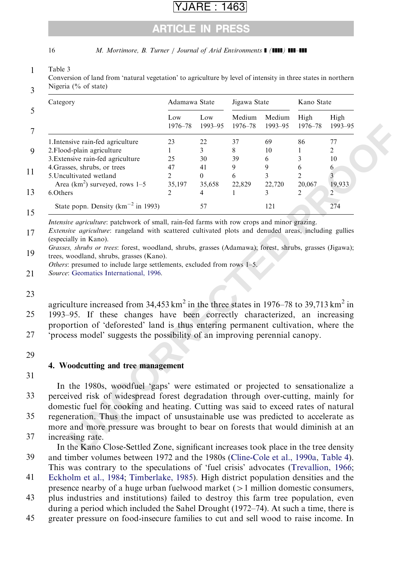### ARTICLE IN PRESS

<span id="page-15-0"></span>16 M. Mortimore, B. Turner / Journal of Arid Environments  $\blacksquare$  ( $\blacksquare$ )  $\blacksquare$ 

#### 1 Table 3

3 Conversion of land from 'natural vegetation' to agriculture by level of intensity in three states in northern Nigeria (% of state)

| Category                                                                                                                                                                                    | Adamawa State  |                | Jigawa State      |                   | Kano State      |                 |
|---------------------------------------------------------------------------------------------------------------------------------------------------------------------------------------------|----------------|----------------|-------------------|-------------------|-----------------|-----------------|
|                                                                                                                                                                                             | Low<br>1976-78 | Low<br>1993-95 | Medium<br>1976-78 | Medium<br>1993-95 | High<br>1976-78 | High<br>1993-95 |
| 1. Intensive rain-fed agriculture                                                                                                                                                           | 23             | 22             | 37                | 69                | 86              | 77              |
| 2. Flood-plain agriculture                                                                                                                                                                  | $\mathbf{1}$   | 3              | 8                 | 10                | 1               | $\overline{c}$  |
| 3. Extensive rain-fed agriculture                                                                                                                                                           | 25             | 30             | 39                | 6                 | 3               | 10              |
| 4. Grasses, shrubs, or trees                                                                                                                                                                | 47             | 41             | 9                 | 9                 | 6               | 6               |
| 5. Uncultivated wetland                                                                                                                                                                     | $\overline{2}$ | $\Omega$       | 6                 | 3                 | $\overline{c}$  | $\overline{3}$  |
| Area ( $km^2$ ) surveyed, rows 1-5                                                                                                                                                          | 35,197         | 35,658         | 22,829            | 22,720            | 20,067          | 19,933          |
| 6.Others                                                                                                                                                                                    | $\overline{2}$ | 4              | 1                 | 3                 | $\overline{c}$  | $\overline{2}$  |
| State popn. Density $(km^{-2}$ in 1993)                                                                                                                                                     |                | 57             |                   | 121               |                 | 274             |
|                                                                                                                                                                                             |                |                |                   |                   |                 |                 |
| agriculture increased from 34,453 km <sup>2</sup> in the three states in 1976–78 to 39,713 km <sup>2</sup> in<br>1993–95. If these changes have been correctly characterized, an increasing |                |                |                   |                   |                 |                 |
| proportion of 'deforested' land is thus entering permanent cultivation, where the<br>'process model' suggests the possibility of an improving perennial canopy.                             |                |                |                   |                   |                 |                 |
|                                                                                                                                                                                             |                |                |                   |                   |                 |                 |
|                                                                                                                                                                                             |                |                |                   |                   |                 |                 |
|                                                                                                                                                                                             |                |                |                   |                   |                 |                 |
|                                                                                                                                                                                             |                |                |                   |                   |                 |                 |
|                                                                                                                                                                                             |                |                |                   |                   |                 |                 |
| In the 1980s, woodfuel 'gaps' were estimated or projected to sensationalize a                                                                                                               |                |                |                   |                   |                 |                 |
| perceived risk of widespread forest degradation through over-cutting, mainly for                                                                                                            |                |                |                   |                   |                 |                 |
| domestic fuel for cooking and heating. Cutting was said to exceed rates of natural                                                                                                          |                |                |                   |                   |                 |                 |
| 4. Woodcutting and tree management<br>regeneration. Thus the impact of unsustainable use was predicted to accelerate as                                                                     |                |                |                   |                   |                 |                 |
|                                                                                                                                                                                             |                |                |                   |                   |                 |                 |
| more and more pressure was brought to bear on forests that would diminish at an<br>increasing rate.<br>In the Kano Close-Settled Zone, significant increases took place in the tree density |                |                |                   |                   |                 |                 |

### 23

29

### 4. Woodcutting and tree management

31

39

In the Kano Close-Settled Zone, significant increases took place in the tree density and timber volumes between 1972 and the 1980s ([Cline-Cole et al., 1990a](#page-24-0), [Table 4](#page-16-0)). This was contrary to the speculations of 'fuel crisis' advocates ([Trevallion, 1966;](#page-27-0)

[Eckholm et al., 1984;](#page-25-0) [Timberlake, 1985](#page-27-0)). High district population densities and the presence nearby of a huge urban fuelwood market  $(>1$  million domestic consumers, 41

plus industries and institutions) failed to destroy this farm tree population, even during a period which included the Sahel Drought (1972–74). At such a time, there is 43

greater pressure on food-insecure families to cut and sell wood to raise income. In 45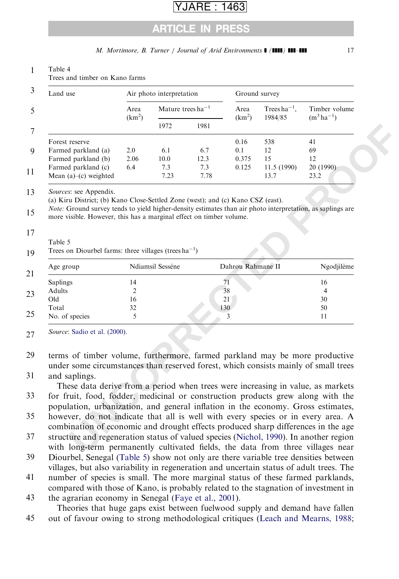### ARE : 1463

### ARTICLE IN PRESS

<span id="page-16-0"></span>

| Land use                                                                                                                                                                                                                      |                            | Air photo interpretation |      | Ground survey              |                                                  |                 |
|-------------------------------------------------------------------------------------------------------------------------------------------------------------------------------------------------------------------------------|----------------------------|--------------------------|------|----------------------------|--------------------------------------------------|-----------------|
|                                                                                                                                                                                                                               | Area<br>(km <sup>2</sup> ) | Mature trees $ha^{-1}$   |      | Area<br>(km <sup>2</sup> ) | Trees ha <sup><math>-1</math></sup> ,<br>1984/85 | Timber volume   |
|                                                                                                                                                                                                                               |                            | 1972                     | 1981 |                            |                                                  | $(m^3 ha^{-1})$ |
| Forest reserve                                                                                                                                                                                                                |                            |                          |      | 0.16                       | 538                                              | 41              |
| Farmed parkland (a)                                                                                                                                                                                                           | 2.0                        | 6.1                      | 6.7  | 0.1                        | 12                                               | 69              |
| Farmed parkland (b)                                                                                                                                                                                                           | 2.06                       | 10.0                     | 12.3 | 0.375                      | 15                                               | 12              |
| Farmed parkland (c)                                                                                                                                                                                                           | 6.4                        | 7.3                      | 7.3  | 0.125                      | 11.5 (1990)                                      | 20 (1990)       |
| Mean $(a)$ – $(c)$ weighted                                                                                                                                                                                                   |                            | 7.23                     | 7.78 |                            | 13.7                                             | 23.2            |
|                                                                                                                                                                                                                               |                            |                          |      |                            |                                                  |                 |
|                                                                                                                                                                                                                               |                            | Ndiamsil Sessène         |      | Dahrou Rahmane II          |                                                  | Ngodjilème      |
| Trees on Diourbel farms: three villages (trees $ha^{-1}$ )<br>Age group                                                                                                                                                       | 14                         |                          |      | 71                         |                                                  | 16              |
| Saplings<br>Adults                                                                                                                                                                                                            | 2                          |                          |      | 38                         |                                                  | 4               |
| Old                                                                                                                                                                                                                           | 16                         |                          |      | 21                         |                                                  | 30              |
|                                                                                                                                                                                                                               | 32                         |                          |      | 130                        |                                                  | 50              |
|                                                                                                                                                                                                                               | 5                          |                          |      | 3                          |                                                  | 11              |
| Total<br>No. of species<br>Source: Sadio et al. (2000).<br>terms of timber volume, furthermore, farmed parkland may be more productive<br>under some circumstances than reserved forest, which consists mainly of small trees |                            |                          |      |                            |                                                  |                 |

### M. Mortimore, B. Turner / Journal of Arid Environments  $\blacksquare$  ( $\blacksquare$ )  $\blacksquare$

#### and saplings. 31

Diourbel, Senegal (Table 5) show not only are there variable tree densities between villages, but also variability in regeneration and uncertain status of adult trees. The 39

number of species is small. The more marginal status of these farmed parklands, compared with those of Kano, is probably related to the stagnation of investment in 41

the agrarian economy in Senegal ([Faye et al., 2001\)](#page-25-0). Theories that huge gaps exist between fuelwood supply and demand have fallen 43

out of favour owing to strong methodological critiques ([Leach and Mearns, 1988;](#page-25-0) 45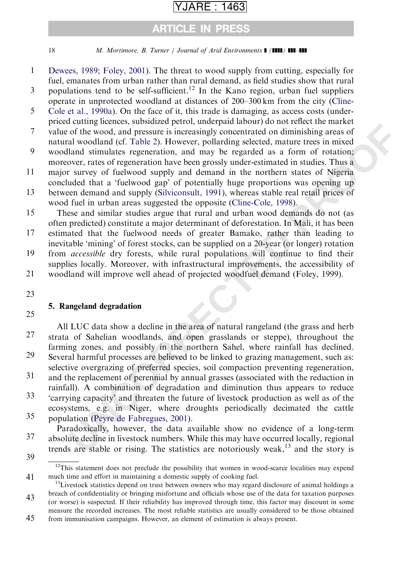### ARTICLE IN PRESS

18 *M. Mortimore, B. Turner | Journal of Arid Environments* **[ (1111) 111-111** 

- [Dewees, 1989;](#page-25-0) [Foley, 2001](#page-25-0)). The threat to wood supply from cutting, especially for fuel, emanates from urban rather than rural demand, as field studies show that rural 1
- populations tend to be self-sufficient.<sup>12</sup> In the Kano region, urban fuel suppliers operate in unprotected woodland at distances of 200–300 km from the city ([Cline-](#page-24-0)3
- [Cole et al., 1990a\)](#page-24-0). On the face of it, this trade is damaging, as access costs (underpriced cutting licences, subsidized petrol, underpaid labour) do not reflect the market value of the wood, and pressure is increasingly concentrated on diminishing areas of 5 7
- natural woodland (cf. Table 2). However, pollarding selected, mature trees in mixed woodland stimulates regeneration, and may be regarded as a form of rotation; 9
- moreover, rates of regeneration have been grossly under-estimated in studies. Thus a major survey of fuelwood supply and demand in the northern states of Nigeria 11
- concluded that a 'fuelwood gap' of potentially huge proportions was opening up
- between demand and supply (Silviconsult, 1991), whereas stable real retail prices of wood fuel in urban areas suggested the opposite (Cline-Cole, 1998). 13
- These and similar studies argue that rural and urban wood demands do not (as often predicted) constitute a major determinant of deforestation. In Mali, it has been 15
- estimated that the fuelwood needs of greater Bamako, rather than leading to inevitable 'mining' of forest stocks, can be supplied on a 20-year (or longer) rotation 17
- from accessible dry forests, while rural populations will continue to find their supplies locally. Moreover, with infrastructural improvements, the accessibility of 19
- woodland will improve well ahead of projected woodfuel demand (Foley, 1999). 21
- 23

### 5. Rangeland degradation

25

**Example the matrix** change the matrix and a did would be the matrix of the wood, and pressure is increasingly concentrated on diminishing areas of al woodd, and pressure is increasingly concentrated on diminishing areas o All LUC data show a decline in the area of natural rangeland (the grass and herb strata of Sahelian woodlands, and open grasslands or steppe), throughout the farming zones, and possibly in the northern Sahel, where rainfall has declined. Several harmful processes are believed to be linked to grazing management, such as: selective overgrazing of preferred species, soil compaction preventing regeneration, and the replacement of perennial by annual grasses (associated with the reduction in rainfall). A combination of degradation and diminution thus appears to reduce 27 29 31

'carrying capacity' and threaten the future of livestock production as well as of the ecosystems, e.g. in Niger, where droughts periodically decimated the cattle 33

population (Peyre de Fabregues, 2001). 35

Paradoxically, however, the data available show no evidence of a long-term absolute decline in livestock numbers. While this may have occurred locally, regional trends are stable or rising. The statistics are notoriously weak,  $13$  and the story is 37

<sup>39</sup>

<sup>41</sup>  $12$ This statement does not preclude the possibility that women in wood-scarce localities may expend much time and effort in maintaining a domestic supply of cooking fuel.<br><sup>13</sup>Livestock statistics depend on trust between owners who may regard disclosure of animal holdings a

<sup>43</sup> breach of confidentiality or bringing misfortune and officials whose use of the data for taxation purposes (or worse) is suspected. If their reliability has improved through time, this factor may discount in some measure the recorded increases. The most reliable statistics are usually considered to be those obtained

<sup>45</sup> from immunisation campaigns. However, an element of estimation is always present.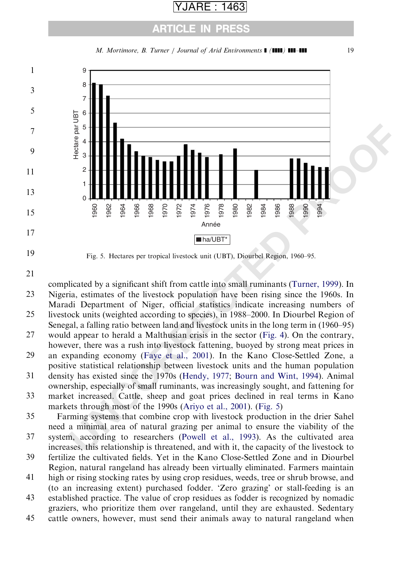### ARTICLE IN PRESS





Fig. 5. Hectares per tropical livestock unit (UBT), Diourbel Region, 1960–95.

complicated by a significant shift from cattle into small ruminants (Turner, 1999). In Nigeria, estimates of the livestock population have been rising since the 1960s. In Maradi Department of Niger, official statistics indicate increasing numbers of livestock units (weighted according to species), in 1988–2000. In Diourbel Region of 

- Senegal, a falling ratio between land and livestock units in the long term in (1960–95)
- would appear to herald a Malthusian crisis in the sector (Fig. 4). On the contrary, however, there was a rush into livestock fattening, buoyed by strong meat prices in
- an expanding economy (Faye et al., 2001). In the Kano Close-Settled Zone, a positive statistical relationship between livestock units and the human population
- density has existed since the 1970s (Hendy, 1977; Bourn and Wint, 1994). Animal ownership, especially of small ruminants, was increasingly sought, and fattening for

market increased. Cattle, sheep and goat prices declined in real terms in Kano markets through most of the 1990s (Ariyo et al., 2001). (Fig. 5) 

Farming systems that combine crop with livestock production in the drier Sahel need a minimal area of natural grazing per animal to ensure the viability of the 

- system, according to researchers (Powell et al., 1993). As the cultivated area increases, this relationship is threatened, and with it, the capacity of the livestock to
- fertilize the cultivated fields. Yet in the Kano Close-Settled Zone and in Diourbel Region, natural rangeland has already been virtually eliminated. Farmers maintain
- high or rising stocking rates by using crop residues, weeds, tree or shrub browse, and (to an increasing extent) purchased fodder. 'Zero grazing' or stall-feeding is an
- established practice. The value of crop residues as fodder is recognized by nomadic graziers, who prioritize them over rangeland, until they are exhausted. Sedentary
- cattle owners, however, must send their animals away to natural rangeland when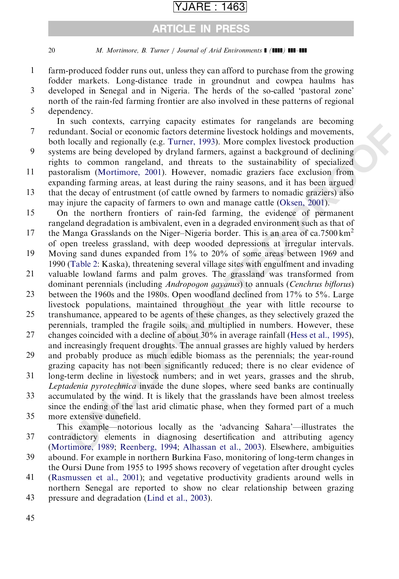### ARTICLE IN PRESS

20 M. Mortimore, B. Turner / Journal of Arid Environments  $\blacksquare$  ( $\blacksquare$ )  $\blacksquare$ 

- farm-produced fodder runs out, unless they can afford to purchase from the growing fodder markets. Long-distance trade in groundnut and cowpea haulms has 1
- developed in Senegal and in Nigeria. The herds of the so-called 'pastoral zone' north of the rain-fed farming frontier are also involved in these patterns of regional 3
- dependency. 5

start othericas, carrying eqaptity estants.<sup>1</sup> of the and the start and the contoming the plocid or economic factors determine livestock holdings and movements, local or economic factors determine livestock holdings and mo In such contexts, carrying capacity estimates for rangelands are becoming redundant. Social or economic factors determine livestock holdings and movements, both locally and regionally (e.g. Turner, 1993). More complex livestock production systems are being developed by dryland farmers, against a background of declining rights to common rangeland, and threats to the sustainability of specialized pastoralism (Mortimore, 2001). However, nomadic graziers face exclusion from expanding farming areas, at least during the rainy seasons, and it has been argued 7 9 11

that the decay of entrustment (of cattle owned by farmers to nomadic graziers) also may injure the capacity of farmers to own and manage cattle (Oksen, 2001). 13

On the northern frontiers of rain-fed farming, the evidence of permanent rangeland degradation is ambivalent, even in a degraded environment such as that of 15

the Manga Grasslands on the Niger–Nigeria border. This is an area of ca.7500  $km<sup>2</sup>$ of open treeless grassland, with deep wooded depressions at irregular intervals. 17

Moving sand dunes expanded from 1% to 20% of some areas between 1969 and 1990 (Table 2: Kaska), threatening several village sites with engulfment and invading 19

valuable lowland farms and palm groves. The grassland was transformed from dominant perennials (including *Andropogon gayanus*) to annuals (*Cenchrus biflorus*) 21

between the 1960s and the 1980s. Open woodland declined from 17% to 5%. Large livestock populations, maintained throughout the year with little recourse to 23

- transhumance, appeared to be agents of these changes, as they selectively grazed the perennials, trampled the fragile soils, and multiplied in numbers. However, these 25
- changes coincided with a decline of about 30% in average rainfall (Hess et al., 1995), and increasingly frequent droughts. The annual grasses are highly valued by herders 27

and probably produce as much edible biomass as the perennials; the year-round grazing capacity has not been significantly reduced; there is no clear evidence of 29

- long-term decline in livestock numbers; and in wet years, grasses and the shrub, Leptadenia pyrotechnica invade the dune slopes, where seed banks are continually 31
- accumulated by the wind. It is likely that the grasslands have been almost treeless since the ending of the last arid climatic phase, when they formed part of a much 33

more extensive dunefield. 35

This example—notorious locally as the 'advancing Sahara'—illustrates the contradictory elements in diagnosing desertification and attributing agency [\(Mortimore, 1989;](#page-26-0) Reenberg, 1994; Alhassan et al., 2003). Elsewhere, ambiguities 37

- abound. For example in northern Burkina Faso, monitoring of long-term changes in the Oursi Dune from 1955 to 1995 shows recovery of vegetation after drought cycles 39
- [\(Rasmussen et al., 2001\)](#page-27-0); and vegetative productivity gradients around wells in northern Senegal are reported to show no clear relationship between grazing 41
- pressure and degradation [\(Lind et al., 2003](#page-26-0)). 43

45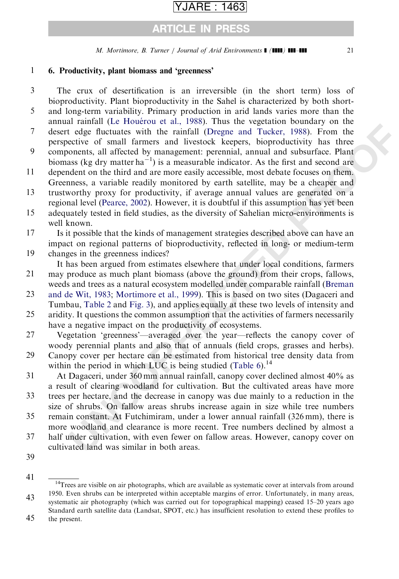## ARTICLE IN PRESS

M. Mortimore, B. Turner / Journal of Arid Environments  $\blacksquare$  ( $\blacksquare$ )  $\blacksquare$ 

#### 6. Productivity, plant biomass and 'greenness' 1

- The crux of desertification is an irreversible (in the short term) loss of bioproductivity. Plant bioproductivity in the Sahel is characterized by both shortand long-term variability. Primary production in arid lands varies more than the 3 5
- annual rainfall (Le Houérou et al., 1988). Thus the vegetation boundary on the desert edge fluctuates with the rainfall (Dregne and Tucker, 1988). From the perspective of small farmers and livestock keepers, bioproductivity has three 7
- components, all affected by management: perennial, annual and subsurface. Plant biomass (kg dry matter  $ha^{-1}$ ) is a measurable indicator. As the first and second are 9
- dependent on the third and are more easily accessible, most debate focuses on them. Greenness, a variable readily monitored by earth satellite, may be a cheaper and 11
- trustworthy proxy for productivity, if average annual values are generated on a regional level (Pearce, 2002). However, it is doubtful if this assumption has yet been 13
- adequately tested in field studies, as the diversity of Sahelian micro-environments is well known. 15
- arianar (te trotector e tra<sub>n</sub>, "*pools*," rans tue vegtataton coonalizy on the entering of the dege fluctuates with the rainfall (Degne and Tucker, 1988). From the eccive of small farmers and livestock keepers, hoproducti Is it possible that the kinds of management strategies described above can have an impact on regional patterns of bioproductivity, reflected in long- or medium-term changes in the greenness indices? 17 19
- It has been argued from estimates elsewhere that under local conditions, farmers may produce as much plant biomass (above the ground) from their crops, fallows, 21
- weeds and trees as a natural ecosystem modelled under comparable rainfall (Breman [and de Wit, 1983](#page-24-0); Mortimore et al., 1999). This is based on two sites (Dagaceri and Tumbau, Table 2 and Fig. 3), and applies equally at these two levels of intensity and 23
- aridity. It questions the common assumption that the activities of farmers necessarily have a negative impact on the productivity of ecosystems. 25
- Vegetation 'greenness'—averaged over the year—reflects the canopy cover of woody perennial plants and also that of annuals (field crops, grasses and herbs). 27
- Canopy cover per hectare can be estimated from historical tree density data from within the period in which LUC is being studied (Table  $6$ ).<sup>14</sup> 29
- At Dagaceri, under 360 mm annual rainfall, canopy cover declined almost 40% as a result of clearing woodland for cultivation. But the cultivated areas have more 31
- trees per hectare, and the decrease in canopy was due mainly to a reduction in the size of shrubs. On fallow areas shrubs increase again in size while tree numbers 33
- remain constant. At Futchimiram, under a lower annual rainfall (326 mm), there is more woodland and clearance is more recent. Tree numbers declined by almost a 35
- half under cultivation, with even fewer on fallow areas. However, canopy cover on cultivated land was similar in both areas. 37
- 39

<sup>41</sup> <sup>14</sup>Trees are visible on air photographs, which are available as systematic cover at intervals from around 1950. Even shrubs can be interpreted within acceptable margins of error. Unfortunately, in many areas,

<sup>43</sup> systematic air photography (which was carried out for topographical mapping) ceased 15–20 years ago Standard earth satellite data (Landsat, SPOT, etc.) has insufficient resolution to extend these profiles to

<sup>45</sup> the present.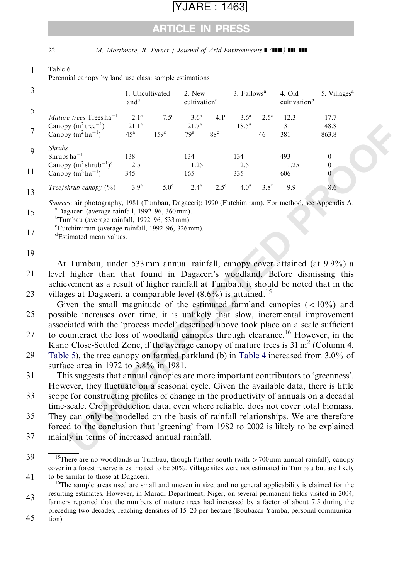### ARTICLE IN PRESS

<span id="page-21-0"></span>

22 M. Mortimore, B. Turner / Journal of Arid Environments  $\blacksquare$  ( $\blacksquare$ )  $\blacksquare$ 

| Table 6                                                |
|--------------------------------------------------------|
| Perennial canopy by land use class: sample estimations |

|                                                                                                                                                                                                                                                     | 1. Uncultivated<br>land <sup>a</sup>            |                                | 2. New<br>cultivation <sup>a</sup>                       |                             | 3. Fallows <sup>a</sup>      |                     | 4. Old<br>cultivation <sup>b</sup> | 5. Villages <sup>a</sup>                               |
|-----------------------------------------------------------------------------------------------------------------------------------------------------------------------------------------------------------------------------------------------------|-------------------------------------------------|--------------------------------|----------------------------------------------------------|-----------------------------|------------------------------|---------------------|------------------------------------|--------------------------------------------------------|
| <i>Mature trees</i> Trees ha <sup>-1</sup><br>Canopy $(m^2 tree^{-1})$<br>Canopy $(m^2 ha^{-1})$                                                                                                                                                    | 2.1 <sup>a</sup><br>$21.1^a$<br>45 <sup>a</sup> | $7.5^{\circ}$<br>$159^{\circ}$ | 3.6 <sup>a</sup><br>21.7 <sup>a</sup><br>79 <sup>a</sup> | $4.1^\circ$<br>$88^{\circ}$ | 3.6 <sup>a</sup><br>$18.5^a$ | $2.5^{\rm c}$<br>46 | 12.3<br>31<br>381                  | 17.7<br>48.8<br>863.8                                  |
| <b>Shrubs</b><br>$Shrubs ha^{-1}$<br>Canopy $(m^2 \text{shrub}^{-1})^d$<br>Canopy $(m^2 ha^{-1})$                                                                                                                                                   | 138<br>2.5<br>345                               |                                | 134<br>1.25<br>165                                       |                             | 134<br>2.5<br>335            |                     | 493<br>1.25<br>606                 | $\boldsymbol{0}$<br>$\boldsymbol{0}$<br>$\overline{0}$ |
| Tree/shrub canopy $(\%)$                                                                                                                                                                                                                            | 3.9 <sup>a</sup>                                | $5.0^\circ$                    | $2.4^{a}$                                                | $2.5^{\circ}$               | 4.0 <sup>a</sup>             | $3.8^\circ$         | 9.9                                | 8.6                                                    |
| <sup>c</sup> Futchimiram (average rainfall, 1992–96, 326 mm).<br><sup>d</sup> Estimated mean values.                                                                                                                                                |                                                 |                                |                                                          |                             |                              |                     |                                    |                                                        |
| At Tumbau, under 533 mm annual rainfall, canopy cover attained (at 9.9%) a                                                                                                                                                                          |                                                 |                                |                                                          |                             |                              |                     |                                    |                                                        |
| level higher than that found in Dagaceri's woodland. Before dismissing this                                                                                                                                                                         |                                                 |                                |                                                          |                             |                              |                     |                                    |                                                        |
| achievement as a result of higher rainfall at Tumbau, it should be noted that in the<br>villages at Dagaceri, a comparable level $(8.6\%)$ is attained. <sup>15</sup><br>Given the small magnitude of the estimated farmland canopies $(<10\%)$ and |                                                 |                                |                                                          |                             |                              |                     |                                    |                                                        |
| possible increases over time, it is unlikely that slow, incremental improvement<br>associated with the 'process model' described above took place on a scale sufficient                                                                             |                                                 |                                |                                                          |                             |                              |                     |                                    |                                                        |
| to counteract the loss of woodland canopies through clearance. <sup>16</sup> However, in the<br>Kano Close-Settled Zone, if the average canopy of mature trees is $31 \text{ m}^2$ (Column 4,                                                       |                                                 |                                |                                                          |                             |                              |                     |                                    |                                                        |
| Table 5), the tree canopy on farmed parkland (b) in Table 4 increased from 3.0% of<br>surface area in 1972 to 3.8% in 1981.                                                                                                                         |                                                 |                                |                                                          |                             |                              |                     |                                    |                                                        |
| This suggests that annual canopies are more important contributors to 'greenness'.<br>However, they fluctuate on a seasonal cycle. Given the available data, there is little                                                                        |                                                 |                                |                                                          |                             |                              |                     |                                    |                                                        |
| scope for constructing profiles of change in the productivity of annuals on a decadal<br>time-scale. Crop production data, even where reliable, does not cover total biomass.                                                                       |                                                 |                                |                                                          |                             |                              |                     |                                    |                                                        |
| They can only be modelled on the basis of rainfall relationships. We are therefore<br>forced to the conclusion that 'greening' from 1982 to 2002 is likely to be explained                                                                          |                                                 |                                |                                                          |                             |                              |                     |                                    |                                                        |
| mainly in terms of increased annual rainfall.                                                                                                                                                                                                       |                                                 |                                |                                                          |                             |                              |                     |                                    |                                                        |
|                                                                                                                                                                                                                                                     |                                                 |                                |                                                          |                             |                              |                     |                                    |                                                        |

<sup>39</sup> <sup>15</sup>There are no woodlands in Tumbau, though further south (with  $>700$  mm annual rainfall), canopy cover in a forest reserve is estimated to be 50%. Village sites were not estimated in Tumbau but are likely

<sup>41</sup>

to be similar to those at Dagaceri.<br><sup>16</sup>The sample areas used are small and uneven in size, and no general applicability is claimed for the resulting estimates. However, in Maradi Department, Niger, on several permanent fields visited in 2004,

<sup>43</sup> 45 farmers reported that the numbers of mature trees had increased by a factor of about 7.5 during the preceding two decades, reaching densities of 15–20 per hectare (Boubacar Yamba, personal communication).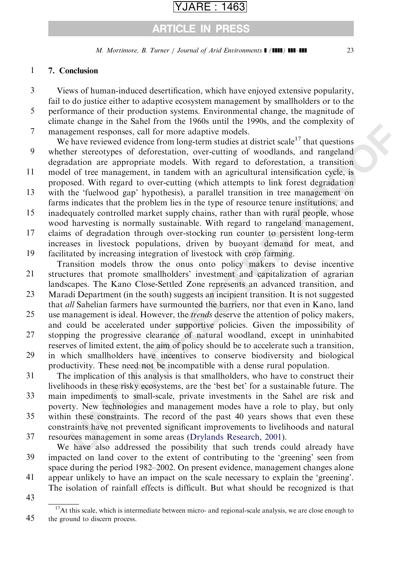## ARTICLE IN PRESS

M. Mortimore, B. Turner / Journal of Arid Environments  $\blacksquare$  (III) III-III 23

#### 7. Conclusion 1

- Views of human-induced desertification, which have enjoyed extensive popularity, fail to do justice either to adaptive ecosystem management by smallholders or to the 3
- performance of their production systems. Environmental change, the magnitude of climate change in the Sahel from the 1960s until the 1990s, and the complexity of 5

management responses, call for more adaptive models. 7

- E change mine basine transmission and the 1700s and to complex the reader egenent responses, call for more adaptive models.<br>
Here received evidence from long-term studies at district scale <sup>17</sup> that questions the rearctive We have reviewed evidence from long-term studies at district scale<sup>17</sup> that questions whether stereotypes of deforestation, over-cutting of woodlands, and rangeland degradation are appropriate models. With regard to deforestation, a transition 9
- model of tree management, in tandem with an agricultural intensification cycle, is proposed. With regard to over-cutting (which attempts to link forest degradation 11
- with the 'fuelwood gap' hypothesis), a parallel transition in tree management on farms indicates that the problem lies in the type of resource tenure institutions, and 13
- inadequately controlled market supply chains, rather than with rural people, whose wood harvesting is normally sustainable. With regard to rangeland management, 15
- claims of degradation through over-stocking run counter to persistent long-term increases in livestock populations, driven by buoyant demand for meat, and facilitated by increasing integration of livestock with crop farming. 17 19
- Transition models throw the onus onto policy makers to devise incentive structures that promote smallholders' investment and capitalization of agrarian 21
- landscapes. The Kano Close-Settled Zone represents an advanced transition, and Maradi Department (in the south) suggests an incipient transition. It is not suggested 23
- that all Sahelian farmers have surmounted the barriers, nor that even in Kano, land
- use management is ideal. However, the trends deserve the attention of policy makers, and could be accelerated under supportive policies. Given the impossibility of 25
- stopping the progressive clearance of natural woodland, except in uninhabited reserves of limited extent, the aim of policy should be to accelerate such a transition, 27
- in which smallholders have incentives to conserve biodiversity and biological productivity. These need not be incompatible with a dense rural population. 29
- The implication of this analysis is that smallholders, who have to construct their livelihoods in these risky ecosystems, are the 'best bet' for a sustainable future. The 31
- main impediments to small-scale, private investments in the Sahel are risk and poverty. New technologies and management modes have a role to play, but only 33

within these constraints. The record of the past 40 years shows that even these constraints have not prevented significant improvements to livelihoods and natural 35

resources management in some areas (Drylands Research, 2001). 37

We have also addressed the possibility that such trends could already have impacted on land cover to the extent of contributing to the 'greening' seen from space during the period 1982–2002. On present evidence, management changes alone 39

- appear unlikely to have an impact on the scale necessary to explain the 'greening'. The isolation of rainfall effects is difficult. But what should be recognized is that 41
- 43

<sup>45</sup>  $17$ At this scale, which is intermediate between micro- and regional-scale analysis, we are close enough to the ground to discern process.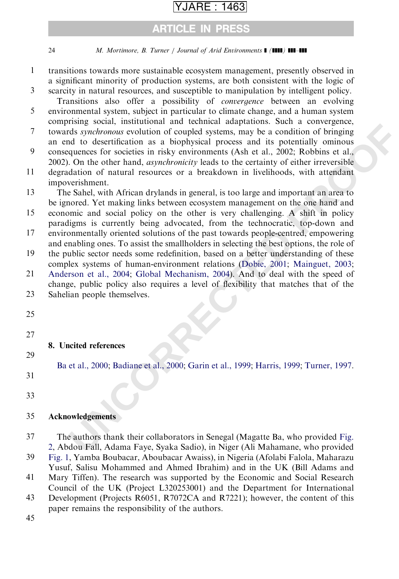### ARTICLE IN PRESS

### 24 M. Mortimore, B. Turner / Journal of Arid Environments  $\blacksquare$  ( $\blacksquare$ )  $\blacksquare$

- transitions towards more sustainable ecosystem management, presently observed in a significant minority of production systems, are both consistent with the logic of 1
- scarcity in natural resources, and susceptible to manipulation by intelligent policy. Transitions also offer a possibility of convergence between an evolving 3

environmental system, subject in particular to climate change, and a human system comprising social, institutional and technical adaptations. Such a convergence, 5

- towards synchronous evolution of coupled systems, may be a condition of bringing an end to desertification as a biophysical process and its potentially ominous 7
- consequences for societies in risky environments (Ash et al., 2002; Robbins et al., 2002). On the other hand, asynchronicity leads to the certainty of either irreversible 9
- degradation of natural resources or a breakdown in livelihoods, with attendant impoverishment. 11

The Sahel, with African drylands in general, is too large and important an area to be ignored. Yet making links between ecosystem management on the one hand and 13

- **EXALMATE: UNCONDET THE SET ANDEDENT SET ANDEDENT SET AND A CONTROMATE CONDUCT CONDUCT CONDUCT CONDUCT CONDUCT CONDUCT CONDUCT CONDUCT CONDUCT CONDUCT CONDUCT CONDUCT CONDUCT CONDUCT CONDUCT CONDUCT CONDUCT CONDUCT CONDU** economic and social policy on the other is very challenging. A shift in policy paradigms is currently being advocated, from the technocratic, top-down and environmentally oriented solutions of the past towards people-centred, empowering 15 17
- and enabling ones. To assist the smallholders in selecting the best options, the role of 19

the public sector needs some redefinition, based on a better understanding of these complex systems of human-environment relations (Dobie, 2001; Mainguet, 2003;

- [Anderson et al., 2004](#page-24-0); Global Mechanism, 2004). And to deal with the speed of change, public policy also requires a level of flexibility that matches that of the 21 23
- Sahelian people themselves.
- 25
- 27

### 8. Uncited references

[Ba et al., 2000;](#page-24-0) Badiane et al., 2000; Garin et al., 1999; Harris, 1999; Turner, 1997.

31

29

33

#### **Acknowledgements** 35

- The authors thank their collaborators in Senegal (Magatte Ba, who provided Fig. [2,](#page-7-0) Abdou Fall, Adama Faye, Syaka Sadio), in Niger (Ali Mahamane, who provided 37
- [Fig. 1](#page-6-0), Yamba Boubacar, Aboubacar Awaiss), in Nigeria (Afolabi Falola, Maharazu Yusuf, Salisu Mohammed and Ahmed Ibrahim) and in the UK (Bill Adams and 39
- Mary Tiffen). The research was supported by the Economic and Social Research Council of the UK (Project L320253001) and the Department for International 41

Development (Projects R6051, R7072CA and R7221); however, the content of this paper remains the responsibility of the authors. 43

45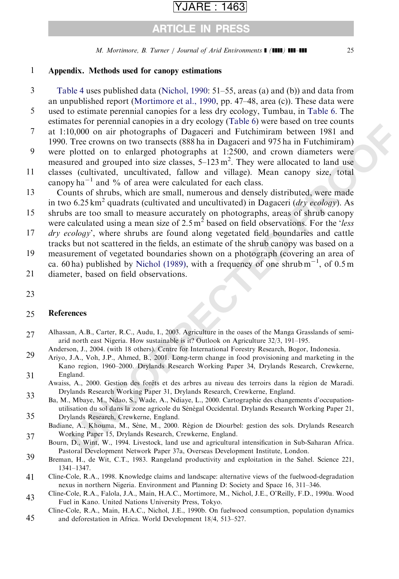### ARTICLE IN PRESS

M. Mortimore, B. Turner / Journal of Arid Environments  $\blacksquare$  (IIII) III-III 25

#### <span id="page-24-0"></span>Appendix. Methods used for canopy estimations 1

- [Table 4](#page-16-0) uses published data [\(Nichol, 1990:](#page-26-0) 51–55, areas (a) and (b)) and data from an unpublished report [\(Mortimore et al., 1990,](#page-26-0) pp. 47–48, area (c)). These data were 3
- used to estimate perennial canopies for a less dry ecology, Tumbau, in [Table 6](#page-21-0). The estimates for perennial canopies in a dry ecology [\(Table 6](#page-21-0)) were based on tree counts 5
- at 1:10,000 on air photographs of Dagaceri and Futchimiram between 1981 and 1990. Tree crowns on two transects (888 ha in Dagaceri and 975 ha in Futchimiram) 7
- were plotted on to enlarged photographs at 1:2500, and crown diameters were measured and grouped into size classes,  $5-123 \text{ m}^2$ . They were allocated to land use 9
- classes (cultivated, uncultivated, fallow and village). Mean canopy size, total canopy  $ha^{-1}$  and % of area were calculated for each class. 11
- Counts of shrubs, which are small, numerous and densely distributed, were made in two 6.25 km<sup>2</sup> quadrats (cultivated and uncultivated) in Dagaceri ( $\frac{dry}{\epsilon}$  ecology). As 13
- shrubs are too small to measure accurately on photographs, areas of shrub canopy were calculated using a mean size of  $2.5 \text{ m}^2$  based on field observations. For the 'less' 15
- dry ecology', where shrubs are found along vegetated field boundaries and cattle tracks but not scattered in the fields, an estimate of the shrub canopy was based on a 17
- measurement of vegetated boundaries shown on a photograph (covering an area of ca. 60 ha) published by Nichol (1989), with a frequency of one shrub  $m^{-1}$ , of 0.5 m 19
- diameter, based on field observations. 21
- 23

#### References 25

- Alhassan, A.B., Carter, R.C., Audu, I., 2003. Agriculture in the oases of the Manga Grasslands of semiarid north east Nigeria. How sustainable is it? Outlook on Agriculture 32/3, 191–195. 27
- Anderson, J., 2004. (with 18 others). Centre for International Forestry Research, Bogor, Indonesia.
- also to percurs a convertional and y coology (valoe to youce olses of the Counter of the Magnetic and 97.5 hai magnetic and 97.5 hai magnetic and you can be precent as the percurs on two transcents (888 ha in Dagaceti and Ariyo, J.A., Voh, J.P., Ahmed, B., 2001. Long-term change in food provisioning and marketing in the Kano region, 1960–2000. Drylands Research Working Paper 34, Drylands Research, Crewkerne, England. 29 31
- Awaiss, A., 2000. Gestion des forêts et des arbres au niveau des terroirs dans la région de Maradi. Drylands Research Working Paper 31, Drylands Research, Crewkerne, England. 33
- Ba, M., Mbaye, M., Ndao, S., Wade, A., Ndiaye, L., 2000. Cartographie des changements d'occupationutilisation du sol dans la zone agricole du Sénégal Occidental. Drylands Research Working Paper 21, Drylands Research, Crewkerne, England. 35
- Badiane, A., Khouma, M., Sène, M., 2000. Région de Diourbel: gestion des sols. Drylands Research Working Paper 15, Drylands Research, Crewkerne, England. 37
- Bourn, D., Wint, W., 1994. Livestock, land use and agricultural intensification in Sub-Saharan Africa. Pastoral Development Network Paper 37a, Overseas Development Institute, London.
- Breman, H., de Wit, C.T., 1983. Rangeland productivity and exploitation in the Sahel. Science 221, 1341–1347. 39
- Cline-Cole, R.A., 1998. Knowledge claims and landscape: alternative views of the fuelwood-degradation nexus in northern Nigeria. Environment and Planning D: Society and Space 16, 311–346. 41
- Cline-Cole, R.A., Falola, J.A., Main, H.A.C., Mortimore, M., Nichol, J.E., O'Reilly, F.D., 1990a. Wood Fuel in Kano. United Nations University Press, Tokyo. 43
- Cline-Cole, R.A., Main, H.A.C., Nichol, J.E., 1990b. On fuelwood consumption, population dynamics and deforestation in Africa. World Development 18/4, 513–527. 45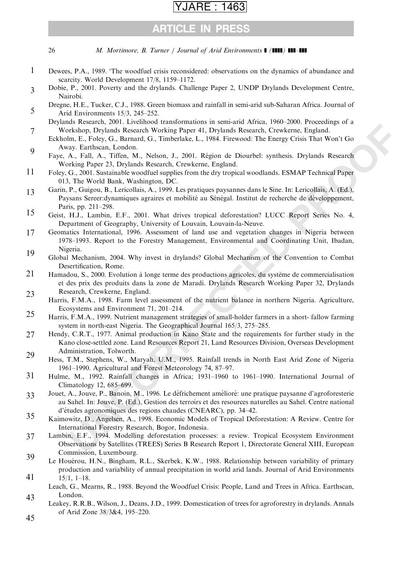### ARE : 1463

### ARTICLE IN PRESS

<span id="page-25-0"></span>26 M. Mortimore, B. Turner / Journal of Arid Environments  $\blacksquare$  ( $\blacksquare$ )  $\blacksquare$ 

- Dewees, P.A., 1989. 'The woodfuel crisis reconsidered: observations on the dynamics of abundance and scarcity. World Development 17/8, 1159–1172. 1
- Dobie, P., 2001. Poverty and the drylands. Challenge Paper 2, UNDP Drylands Development Centre, Nairobi. 3
- Dregne, H.E., Tucker, C.J., 1988. Green biomass and rainfall in semi-arid sub-Saharan Africa. Journal of Arid Environments 15/3, 245–252. 5
- Drylands Research, 2001. Livelihood transformations in semi-arid Africa, 1960–2000. Proceedings of a Workshop, Drylands Research Working Paper 41, Drylands Research, Crewkerne, England. 7
- Eckholm, E., Foley, G., Barnard, G., Timberlake, L., 1984. Firewood: The Energy Crisis That Won't Go Away. Earthscan, London. 9
- Faye, A., Fall, A., Tiffen, M., Nelson, J., 2001. Région de Diourbel: synthesis. Drylands Research Working Paper 23, Drylands Research, Crewkerne, England.
- Foley, G., 2001. Sustainable woodfuel supplies from the dry tropical woodlands. ESMAP Technical Paper 013, The World Bank, Washington, DC. 11
- Garin, P., Guigou, B., Lericollais, A., 1999. Les pratiques paysannes dans le Sine. In: Lericollais, A. (Ed.), Paysans Sereer: dynamiques agraires et mobilité au Sénégal. Institut de recherche de développement, Paris, pp. 211–298. 13
- Geist, H.J., Lambin, E.F., 2001. What drives tropical deforestation? LUCC Report Series No. 4, Department of Geography, University of Louvain, Louvain-la-Neuve. 15
- As besearch, 2001: Detembera Incordination in Suranno Arrests, One-2006. Tracteting the N. (1913), G., Darmand, G. Thinki, E. Folye, G., Darmand, G. Thinki, E. Folye, C., Darmand, G. Thinki, E. F. Doll, R. F. Doll, R. F. D Geomatics International, 1996. Assessment of land use and vegetation changes in Nigeria between 1978–1993. Report to the Forestry Management, Environmental and Coordinating Unit, Ibadan, Nigeria. 17 19
- Global Mechanism, 2004. Why invest in drylands? Global Mechanism of the Convention to Combat Desertification, Rome.
- Hamadou, S., 2000. Evolution à longe terme des productions agricoles, du système de commercialisation et des prix des produits dans la zone de Maradi. Drylands Research Working Paper 32, Drylands Research, Crewkerne, England. 21 23
- Harris, F.M.A., 1998. Farm level assessment of the nutrient balance in northern Nigeria. Agriculture, Ecosystems and Environment 71, 201–214.
- Harris, F.M.A., 1999. Nutrient management strategies of small-holder farmers in a short- fallow farming system in north-east Nigeria. The Geographical Journal 165/3, 275–285. 25
- Hendy, C.R.T., 1977. Animal production in Kano State and the requirements for further study in the Kano close-settled zone. Land Resources Report 21, Land Resources Division, Overseas Development Administration, Tolworth. 27 29
- Hess, T.M., Stephens, W., Maryah, U.M., 1995. Rainfall trends in North East Arid Zone of Nigeria 1961–1990. Agricultural and Forest Meteorology 74, 87–97.
- Hulme, M., 1992. Rainfall changes in Africa; 1931–1960 to 1961–1990. International Journal of Climatology 12, 685–699. 31
- Jouet, A., Jouve, P., Banoin, M., 1996. Le défrichement amélioré: une pratique paysanne d'agroforesterie au Sahel. In: Jouve, P. (Ed.), Gestion des terroirs et des resources naturelles au Sahel. Centre national d'e´tudes agronomiques des regions chaudes (CNEARC), pp. 34–42. 33
- Kaimowitz, D., Angelsen, A., 1998. Economic Models of Tropical Deforestation: A Review. Centre for International Forestry Research, Bogor, Indonesia. 35
- Lambin, E.F., 1994. Modelling deforestation processes: a review. Tropical Ecosystem Environment Observations by Satellites (TREES) Series B Research Report 1, Directorate General XIII, European Commission, Luxembourg. 37 39
- Le Houérou, H.N., Bingham, R.L., Skerbek, K.W., 1988. Relationship between variability of primary production and variability of annual precipitation in world arid lands. Journal of Arid Environments 15/1, 1–18. 41
- Leach, G., Mearns, R., 1988. Beyond the Woodfuel Crisis: People, Land and Trees in Africa. Earthscan, London. 43
- Leakey, R.R.B., Wilson, J., Deans, J.D., 1999. Domestication of trees for agroforestry in drylands. Annals of Arid Zone 38/3&4, 195–220. 45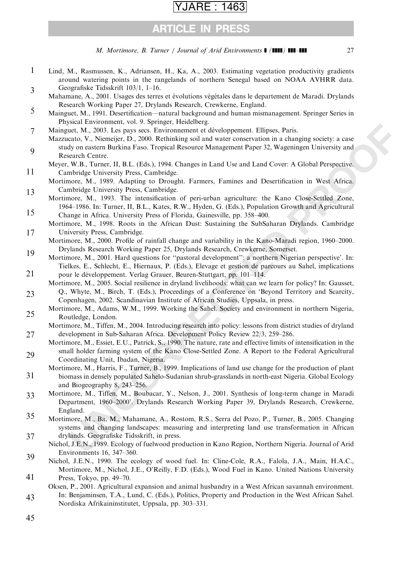### ARE : 1463

### ARTICLE IN PRESS

M. Mortimore, B. Turner / Journal of Arid Environments  $\blacksquare$  (IIII) III-III 27

- <span id="page-26-0"></span>Lind, M., Rasmussen, K., Adriansen, H., Ka, A., 2003. Estimating vegetation productivity gradients around watering points in the rangelands of northern Senegal based on NOAA AVHRR data. Geografiske Tidsskrift 103/1, 1–16. 1 3
- Mahamane, A., 2001. Usages des terres et évolutions végétales dans le departement de Maradi. Drylands Research Working Paper 27, Drylands Research, Crewkerne, England.
- Mainguet, M., 1991. Desertification—natural background and human mismanagement. Springer Series in Physical Environment, vol. 9. Springer, Heidelberg. 5
- Mainguet, M., 2003. Les pays secs. Environnement et développement. Ellipses, Paris. 7
- Mazzucato, V., Niemeijer, D., 2000. Rethinking soil and water conservation in a changing society: a case study on eastern Burkina Faso. Tropical Resource Management Paper 32, Wageningen University and Research Centre. 9
- Meyer, W.B., Turner, II, B.L. (Eds.), 1994. Changes in Land Use and Land Cover: A Global Perspective. Cambridge University Press, Cambridge. 11
- Mortimore, M., 1989. Adapting to Drought. Farmers, Famines and Desertification in West Africa. Cambridge University Press, Cambridge. 13
- Mortimore, M., 1993. The intensification of peri-urban agriculture: the Kano Close-Settled Zone, 1964–1986. In: Turner, II, B.L., Kates, R.W., Hyden, G. (Eds.), Population Growth and Agricultural Change in Africa. University Press of Florida, Gainesville, pp. 358–400. 15

Mortimore, M., 1998. Roots in the African Dust: Sustaining the SubSaharan Drylands. Cambridge University Press, Cambridge. 17

- Mortimore, M., 2000. Profile of rainfall change and variability in the Kano-Maradi region, 1960–2000. Drylands Research Working Paper 25, Drylands Research, Crewkerne, Somerset. 19
- Mortimore, M., 2001. Hard questions for ''pastoral development'': a northern Nigerian perspective'. In: Tielkes, E., Schlecht, E., Hiernaux, P. (Eds.), Elevage et gestion de parcours au Sahel, implications pour le développement. Verlag Grauer, Beuren-Stuttgart, pp. 101-114. 21
- Mortimore, M., 2005. Social resilience in dryland livelihoods: what can we learn for policy? In: Gausset, Q., Whyte, M., Birch, T. (Eds.), Proceedings of a Conference on 'Beyond Territory and Scarcity,
- Copenhagen, 2002. Scandinavian Institute of African Studies, Uppsala, in press. 23
- Mortimore, M., Adams, W.M., 1999. Working the Sahel. Society and environment in northern Nigeria, Routledge, London. 25
- Mortimore, M., Tiffen, M., 2004. Introducing research into policy: lessons from district studies of dryland development in Sub-Saharan Africa. Development Policy Review 22/3, 259–286. 27
- Mortimore, M., Essiet, E.U., Patrick, S., 1990. The nature, rate and effective limits of intensification in the small holder farming system of the Kano Close-Settled Zone. A Report to the Federal Agricultural Coordinating Unit, Ibadan, Nigeria. 29
- Mortimore, M., Harris, F., Turner, B., 1999. Implications of land use change for the production of plant biomass in densely populated Sahelo-Sudanian shrub-grasslands in north-east Nigeria. Global Ecology and Biogeography 8, 243–256. 31
- **ENGINEE TRANSPORE (THE SET AND THE SET AND THE SET AND THE SET AND THE SET AND THE SET AND THE SET AND A SET AND A SET AND A SET AND A SET AND A SET AND A SET AND A SET AND A SET AND A SET AND A SET AND THE SET AND A SET** Mortimore, M., Tiffen, M., Boubacar, Y., Nelson, J., 2001. Synthesis of long-term change in Maradi Department, 1960–2000'. Drylands Research Working Paper 39, Drylands Research, Crewkerne, England. 33
- Mortimore, M., Ba, M., Mahamane, A., Rostom, R.S., Serra del Pozo, P., Turner, B., 2005. Changing systems and changing landscapes: measuring and interpreting land use transformation in African drylands. Geografiske Tidsskrift, in press. 35 37
- Nichol, J.E.N., 1989. Ecology of fuelwood production in Kano Region, Northern Nigeria. Journal of Arid Environments 16, 347–360. 39
- Nichol, J.E.N., 1990. The ecology of wood fuel. In: Cline-Cole, R.A., Falola, J.A., Main, H.A.C., Mortimore, M., Nichol, J.E., O'Reilly, F.D. (Eds.), Wood Fuel in Kano. United Nations University
- Press, Tokyo, pp. 49–70. 41
- Oksen, P., 2001. Agricultural expansion and animal husbandry in a West African savannah environment. In: Benjaminsen, T.A., Lund, C. (Eds.), Politics, Property and Production in the West African Sahel. 43
- Nordiska Afrikaininstitutet, Uppsala, pp. 303–331.
- 45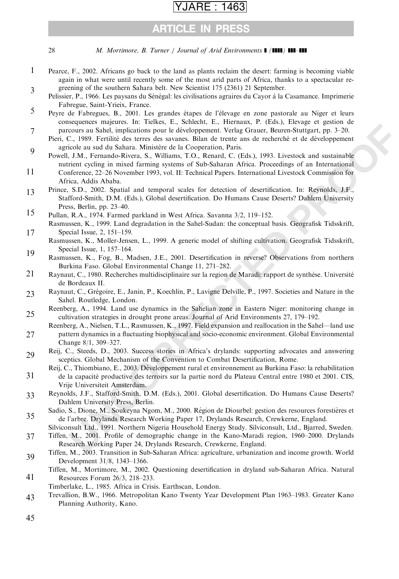## ARTICLE IN PRESS

<span id="page-27-0"></span>28 M. Mortimore, B. Turner / Journal of Arid Environments  $\blacksquare$  ( $\blacksquare$ )  $\blacksquare$ 

- Pearce, F., 2002. Africans go back to the land as plants reclaim the desert: farming is becoming viable again in what were until recently some of the most arid parts of Africa, thanks to a spectacular regreening of the southern Sahara belt. New Scientist 175 (2361) 21 September. 1 3
- Pelissier, P., 1966. Les paysans du Sénégal: les civilisations agraires du Cayor à la Casamance. Imprimerie Fabregue, Saint-Yrieix, France.
- Peyre de Fabregues, B., 2001. Les grandes étapes de l'élevage en zone pastorale au Niger et leurs consequences majeures. In: Tielkes, E., Schlecht, E., Hiernaux, P. (Eds.), Elevage et gestion de parcours au Sahel, implications pour le de´veloppement. Verlag Grauer, Beuren-Stuttgart, pp. 3–20. 5 7
- Pieri, C., 1989. Fertilité des terres des savanes. Bilan de trente ans de recherché et de développement agricole au sud du Sahara. Ministère de la Cooperation, Paris.
- **Secure Solution Scheme The Enter Scheme II and the Control Control Control Control Control Control Control Control Control Control Control Control Control Control Control Control Control Control Control and the present is** Powell, J.M., Fernando-Rivera, S., Williams, T.O., Renard, C. (Eds.), 1993. Livestock and sustainable nutrient cycling in mixed farming systems of Sub-Saharan Africa. Proceedings of an International Conference, 22–26 November 1993, vol. II: Technical Papers. International Livestock Commission for 9 11
	- Africa, Addis Ababa.
- Prince, S.D., 2002. Spatial and temporal scales for detection of desertification. In: Reynolds, J.F., Stafford-Smith, D.M. (Eds.), Global desertification. Do Humans Cause Deserts? Dahlem University Press, Berlin, pp. 23–40. 13
- Pullan, R.A., 1974. Farmed parkland in West Africa. Savanna 3/2, 119–152. 15
- Rasmussen, K., 1999. Land degradation in the Sahel-Sudan: the conceptual basis. Geografisk Tidsskrift, Special Issue, 2, 151–159. 17
- Rasmussen, K., Moller-Jensen, L., 1999. A generic model of shifting cultivation. Geografisk Tidsskrift, Special Issue, 1, 157–164. 19
- Rasmussen, K., Fog, B., Madsen, J.E., 2001. Desertification in reverse? Observations from northern Burkina Faso. Global Environmental Change 11, 271–282.
- Raynaut, C., 1980. Recherches multidisciplinaire sur la region de Maradi: rapport de synthèse. Université de Bordeaux II. 21
- Raynaut, C., Grégoire, E., Janin, P., Koechlin, P., Lavigne Delville, P., 1997. Societies and Nature in the Sahel. Routledge, London. 23
- Reenberg, A., 1994. Land use dynamics in the Sahelian zone in Eastern Niger: monitoring change in cultivation strategies in drought prone areas. Journal of Arid Environments 27, 179–192. 25
- Reenberg, A., Nielsen, T.L., Rasmussen, K., 1997. Field expansion and reallocation in the Sahel—land use pattern dynamics in a fluctuating biophysical and socio-economic environment. Global Environmental Change 8/1, 309–327. 27
- Reij, C., Steeds, D., 2003. Success stories in Africa's drylands: supporting advocates and answering sceptics. Global Mechanism of the Convention to Combat Desertification, Rome. 29
- Reij, C., Thiombiano, E., 2003. De´veloppement rural et environnement au Burkina Faso: la rehabilitation de la capacité productive des terroirs sur la partie nord du Plateau Central entre 1980 et 2001. CIS, Vrije Universiteit Amsterdam. 31
- Reynolds, J.F., Stafford-Smith, D.M. (Eds.), 2001. Global desertification. Do Humans Cause Deserts? Dahlem University Press, Berlin. 33
- Sadio, S., Dione, M., Soukeyna Ngom, M., 2000. Région de Diourbel: gestion des resources forestières et de l'arbre. Drylands Research Working Paper 17, Drylands Research, Crewkerne, England. 35
- Silviconsult Ltd., 1991. Northern Nigeria Household Energy Study. Silviconsult, Ltd., Bjarred, Sweden. Tiffen, M., 2001. Profile of demographic change in the Kano-Maradi region, 1960–2000. Drylands 37
	- Research Working Paper 24, Drylands Research, Crewkerne, England.
- Tiffen, M., 2003. Transition in Sub-Saharan Africa: agriculture, urbanization and income growth. World Development 31/8, 1343–1366. 39
- Tiffen, M., Mortimore, M., 2002. Questioning desertification in dryland sub-Saharan Africa. Natural Resources Forum 26/3, 218–233. 41
- Timberlake, L., 1985. Africa in Crisis. Earthscan, London.
- Trevallion, B.W., 1966. Metropolitan Kano Twenty Year Development Plan 1963–1983. Greater Kano Planning Authority, Kano. 43

45